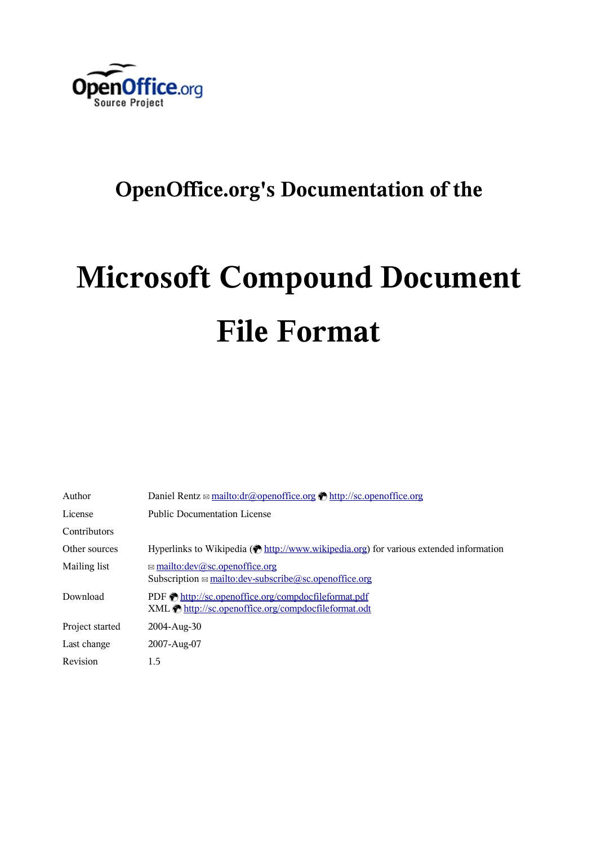

# **OpenOffice.org's Documentation of the**

# **Microsoft Compound Document File Format**

| Author          | Daniel Rentz $\approx$ mailto:dr@openoffice.org $\otimes$ http://sc.openoffice.org                             |  |  |
|-----------------|----------------------------------------------------------------------------------------------------------------|--|--|
| License         | <b>Public Documentation License</b>                                                                            |  |  |
| Contributors    |                                                                                                                |  |  |
| Other sources   | Hyperlinks to Wikipedia ( $\bullet$ http://www.wikipedia.org) for various extended information                 |  |  |
| Mailing list    | $\approx$ mailto:dev@sc.openoffice.org<br>Subscription $\boxtimes$ mailto: dev-subscribe @sc. open office. org |  |  |
| Download        | PDF thttp://sc.openoffice.org/compdocfileformat.pdf<br>XML the http://sc.openoffice.org/compdocfileformat.odt  |  |  |
| Project started | $2004 - Aug-30$                                                                                                |  |  |
| Last change     | 2007-Aug-07                                                                                                    |  |  |
| Revision        | 1.5                                                                                                            |  |  |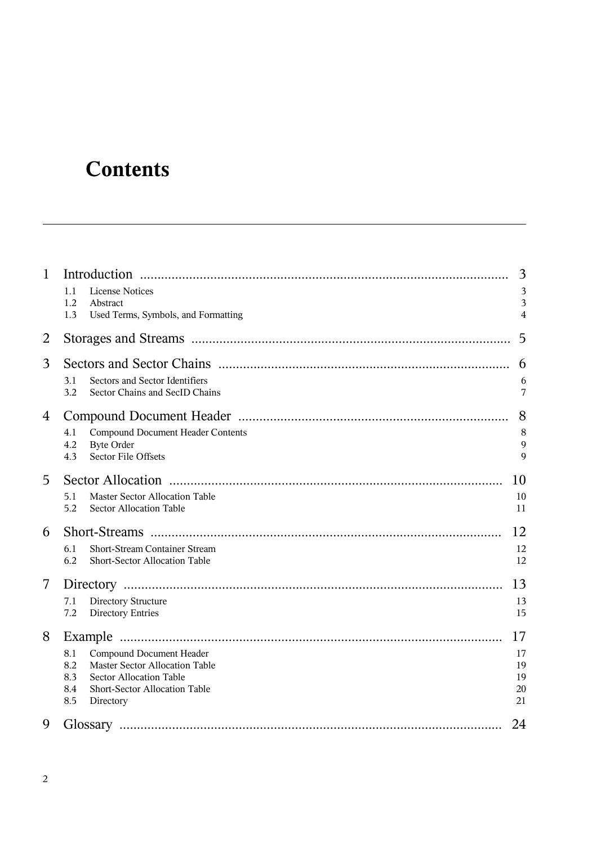# **Contents**

| $\mathbf{1}$   | Introduction<br>1.1<br><b>License Notices</b><br>1.2<br>Abstract<br>1.3<br>Used Terms, Symbols, and Formatting                                                                                  | 3<br>3<br>3<br>4                 |
|----------------|-------------------------------------------------------------------------------------------------------------------------------------------------------------------------------------------------|----------------------------------|
| $\overline{2}$ |                                                                                                                                                                                                 | 5                                |
| 3              | Sectors and Sector Identifiers<br>3.1<br>3.2<br>Sector Chains and SecID Chains                                                                                                                  | 6<br>6<br>7                      |
| 4              | <b>Compound Document Header Contents</b><br>4.1<br><b>Byte Order</b><br>4.2<br><b>Sector File Offsets</b><br>4.3                                                                                | 8<br>8<br>9<br>9                 |
| 5              | <b>Master Sector Allocation Table</b><br>5.1<br>5.2<br><b>Sector Allocation Table</b>                                                                                                           | 10<br>10<br>11                   |
| 6              | <b>Short-Stream Container Stream</b><br>6.1<br>6.2<br>Short-Sector Allocation Table                                                                                                             | 12<br>12<br>12                   |
| 7              | Directory Structure<br>7.1<br>7.2<br><b>Directory Entries</b>                                                                                                                                   | 13<br>13<br>15                   |
| 8              | Example<br>8.1<br>Compound Document Header<br><b>Master Sector Allocation Table</b><br>8.2<br>8.3<br><b>Sector Allocation Table</b><br>Short-Sector Allocation Table<br>8.4<br>8.5<br>Directory | 17<br>17<br>19<br>19<br>20<br>21 |
| 9              | Glossary                                                                                                                                                                                        | 24                               |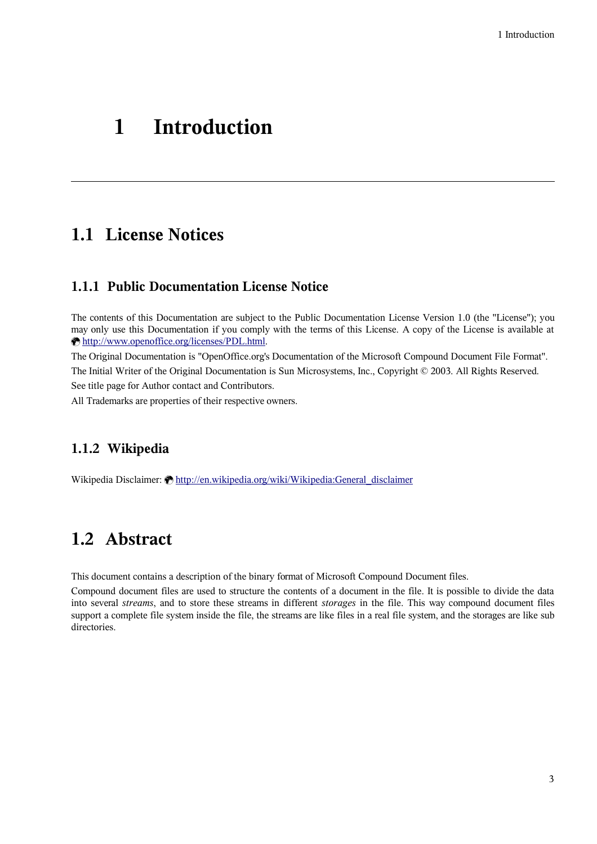# **1 Introduction**

# **1.1 License Notices**

#### **1.1.1 Public Documentation License Notice**

The contents of this Documentation are subject to the Public Documentation License Version 1.0 (the "License"); you may only use this Documentation if you comply with the terms of this License. A copy of the License is available at [http://www.openoffice.org/licenses/PDL.html.](http://www.openoffice.org/licenses/PDL.html)

The Original Documentation is "OpenOffice.org's Documentation of the Microsoft Compound Document File Format". The Initial Writer of the Original Documentation is Sun Microsystems, Inc., Copyright © 2003. All Rights Reserved. See title page for Author contact and Contributors.

All Trademarks are properties of their respective owners.

#### **1.1.2 Wikipedia**

Wikipedia Disclaimer: **M[http://en.wikipedia.org/wiki/Wikipedia:General\\_disclaimer](http://en.wikipedia.org/wiki/Wikipedia:General_disclaimer)** 

# <span id="page-2-0"></span>**1.2 Abstract**

This document contains a description of the binary format of Microsoft Compound Document files.

Compound document files are used to structure the contents of a document in the file. It is possible to divide the data into several *streams*, and to store these streams in different *storages* in the file. This way compound document files support a complete file system inside the file, the streams are like files in a real file system, and the storages are like sub directories.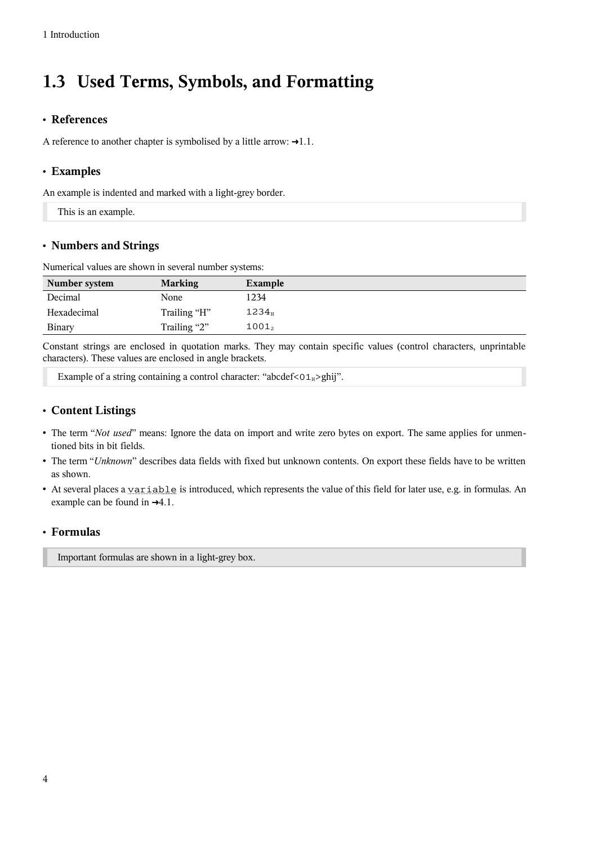# **1.3 Used Terms, Symbols, and Formatting**

#### • **References**

A reference to another chapter is symbolised by a little arrow:  $\rightarrow$ 1.1.

#### • **Examples**

An example is indented and marked with a light-grey border.

This is an example.

#### • **Numbers and Strings**

Numerical values are shown in several number systems:

| Number system | <b>Marking</b> | Example           |
|---------------|----------------|-------------------|
| Decimal       | None           | 1234              |
| Hexadecimal   | Trailing "H"   | $1234_{\rm H}$    |
| <b>Binary</b> | Trailing "2"   | 1001 <sub>2</sub> |

Constant strings are enclosed in quotation marks. They may contain specific values (control characters, unprintable characters). These values are enclosed in angle brackets.

Example of a string containing a control character: "abcdef<01 $_{\text{H}}$ >ghij".

#### • **Content Listings**

- The term "*Not used*" means: Ignore the data on import and write zero bytes on export. The same applies for unmentioned bits in bit fields.
- The term "*Unknown*" describes data fields with fixed but unknown contents. On export these fields have to be written as shown.
- At several places a variable is introduced, which represents the value of this field for later use, e.g. in formulas. An example can be found in  $\rightarrow 4.1$ .

#### • **Formulas**

Important formulas are shown in a light-grey box.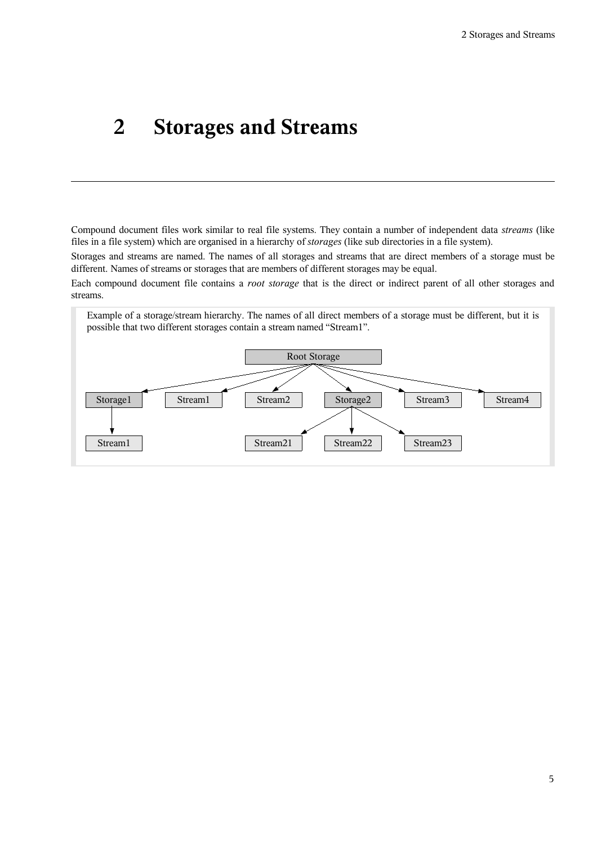# <span id="page-4-0"></span>**2 Storages and Streams**

Compound document files work similar to real file systems. They contain a number of independent data *streams* (like files in a file system) which are organised in a hierarchy of *storages* (like sub directories in a file system).

Storages and streams are named. The names of all storages and streams that are direct members of a storage must be different. Names of streams or storages that are members of different storages may be equal.

Each compound document file contains a *root storage* that is the direct or indirect parent of all other storages and streams.

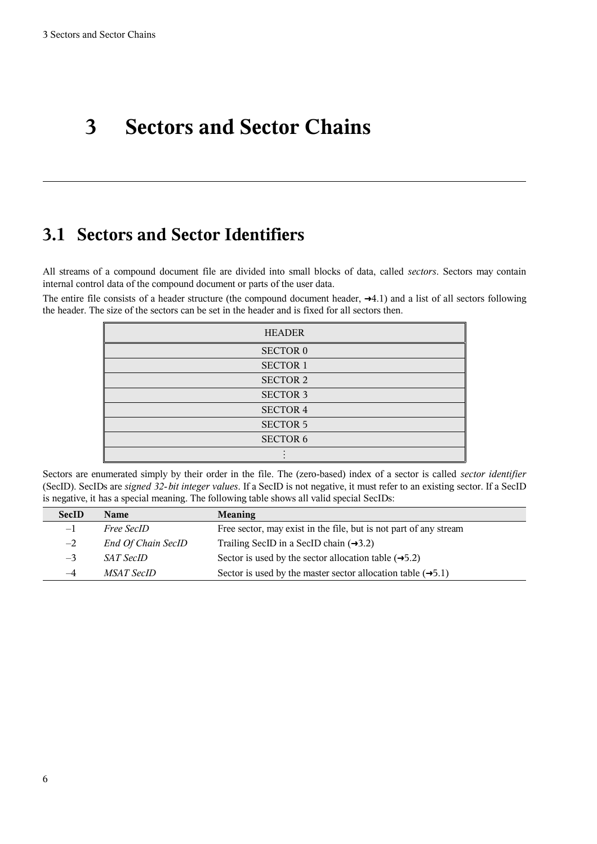# **3 Sectors and Sector Chains**

# <span id="page-5-0"></span>**3.1 Sectors and Sector Identifiers**

All streams of a compound document file are divided into small blocks of data, called *sectors*. Sectors may contain internal control data of the compound document or parts of the user data.

The entire file consists of a header structure (the compound document header,  $\rightarrow$ [4.1\)](#page-7-0) and a list of all sectors following the header. The size of the sectors can be set in the header and is fixed for all sectors then.

| <b>HEADER</b>   |
|-----------------|
| <b>SECTOR 0</b> |
| <b>SECTOR 1</b> |
| <b>SECTOR 2</b> |
| <b>SECTOR 3</b> |
| <b>SECTOR 4</b> |
| <b>SECTOR 5</b> |
| <b>SECTOR 6</b> |
|                 |

Sectors are enumerated simply by their order in the file. The (zero-based) index of a sector is called *sector identifier* (SecID). SecIDs are *signed 32-bit integer values*. If a SecID is not negative, it must refer to an existing sector. If a SecID is negative, it has a special meaning. The following table shows all valid special SecIDs:

| <b>SecID</b> | Name                      | <b>Meaning</b>                                                           |
|--------------|---------------------------|--------------------------------------------------------------------------|
| $-1$         | <i>Free SecID</i>         | Free sector, may exist in the file, but is not part of any stream        |
| $-2$         | <b>End Of Chain SecID</b> | Trailing SecID in a SecID chain $(\rightarrow 3.2)$                      |
| $-3$         | <i>SAT SecID</i>          | Sector is used by the sector allocation table $(\rightarrow 5.2)$        |
| $-4$         | <i>MSAT SecID</i>         | Sector is used by the master sector allocation table $(\rightarrow 5.1)$ |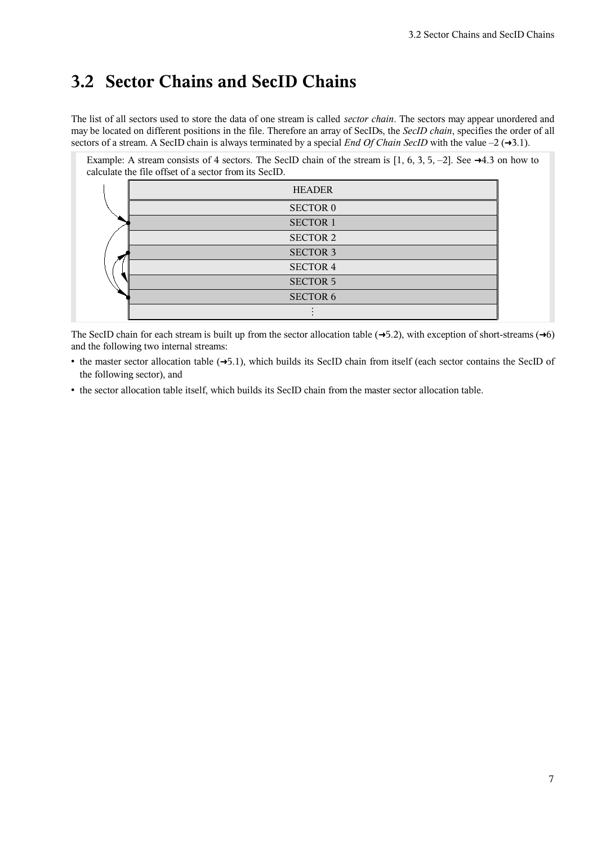### <span id="page-6-0"></span>**3.2 Sector Chains and SecID Chains**

The list of all sectors used to store the data of one stream is called *sector chain*. The sectors may appear unordered and may be located on different positions in the file. Therefore an array of SecIDs, the *SecID chain*, specifies the order of all sectors of a stream. A SecID chain is always terminated by a special *End Of Chain SecID* with the value  $-2$  ( $\rightarrow$ [3.1\)](#page-5-0).

| Example: A stream consists of 4 sectors. The SecID chain of the stream is [1, 6, 3, 5, -2]. See $\rightarrow$ 4.3 on how to<br>calculate the file offset of a sector from its SecID. |  |
|--------------------------------------------------------------------------------------------------------------------------------------------------------------------------------------|--|
| <b>HEADER</b>                                                                                                                                                                        |  |
| <b>SECTOR 0</b>                                                                                                                                                                      |  |
| <b>SECTOR 1</b>                                                                                                                                                                      |  |
| SECTOR <sub>2</sub>                                                                                                                                                                  |  |
| <b>SECTOR 3</b>                                                                                                                                                                      |  |
| SECTOR 4                                                                                                                                                                             |  |
| <b>SECTOR 5</b>                                                                                                                                                                      |  |
| <b>SECTOR 6</b>                                                                                                                                                                      |  |
|                                                                                                                                                                                      |  |

The SecID chain for each stream is built up from the sector allocation table  $(\rightarrow 5.2)$  $(\rightarrow 5.2)$ , with exception of short-streams  $(\rightarrow 6)$  $(\rightarrow 6)$ and the following two internal streams:

- the master sector allocation table (→[5.1\)](#page-9-0), which builds its SecID chain from itself (each sector contains the SecID of the following sector), and
- the sector allocation table itself, which builds its SecID chain from the master sector allocation table.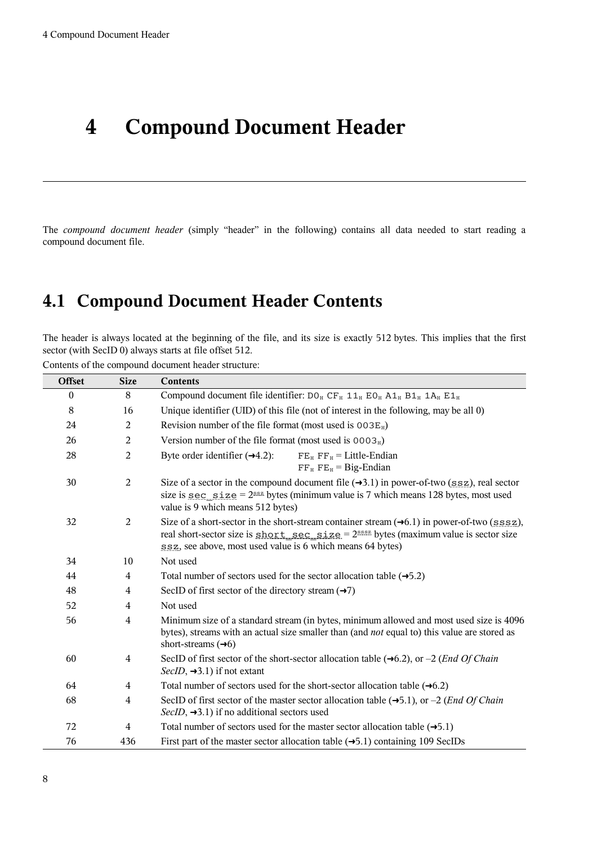# **4 Compound Document Header**

The *compound document header* (simply "header" in the following) contains all data needed to start reading a compound document file.

# <span id="page-7-0"></span>**4.1 Compound Document Header Contents**

The header is always located at the beginning of the file, and its size is exactly 512 bytes. This implies that the first sector (with SecID 0) always starts at file offset 512.

Contents of the compound document header structure:

| <b>Offset</b> | <b>Size</b>    | <b>Contents</b>                                                                                                                                                                                                                                                         |
|---------------|----------------|-------------------------------------------------------------------------------------------------------------------------------------------------------------------------------------------------------------------------------------------------------------------------|
| $\mathbf{0}$  | 8              | Compound document file identifier: $DO_{H}$ CF <sub>H</sub> 11 <sub>H</sub> EO <sub>H</sub> A1 <sub>H</sub> B1 <sub>H</sub> 1A <sub>H</sub> E1 <sub>H</sub>                                                                                                             |
| 8             | 16             | Unique identifier (UID) of this file (not of interest in the following, may be all 0)                                                                                                                                                                                   |
| 24            | $\overline{2}$ | Revision number of the file format (most used is $003E_H$ )                                                                                                                                                                                                             |
| 26            | $\overline{2}$ | Version number of the file format (most used is $0003H$ )                                                                                                                                                                                                               |
| 28            | $\overline{2}$ | Byte order identifier $(\rightarrow 4.2)$ :<br>$FEH FFH = Little-Endian$<br>$FF_H$ FE <sub>H</sub> = Big-Endian                                                                                                                                                         |
| 30            | $\overline{c}$ | Size of a sector in the compound document file $(\rightarrow 3.1)$ in power-of-two (ssz), real sector<br>size is <u>sec_size</u> = $2^{ssz}$ bytes (minimum value is 7 which means 128 bytes, most used<br>value is 9 which means 512 bytes)                            |
| 32            | $\overline{2}$ | Size of a short-sector in the short-stream container stream $(\rightarrow 6.1)$ in power-of-two ( $ssssz$ ),<br>real short-sector size is short sec size = $2^{sssz}$ bytes (maximum value is sector size<br>ssz, see above, most used value is 6 which means 64 bytes) |
| 34            | 10             | Not used                                                                                                                                                                                                                                                                |
| 44            | $\overline{4}$ | Total number of sectors used for the sector allocation table $(\rightarrow 5.2)$                                                                                                                                                                                        |
| 48            | $\overline{4}$ | SecID of first sector of the directory stream $(\rightarrow 7)$                                                                                                                                                                                                         |
| 52            | $\overline{4}$ | Not used                                                                                                                                                                                                                                                                |
| 56            | $\overline{4}$ | Minimum size of a standard stream (in bytes, minimum allowed and most used size is 4096<br>bytes), streams with an actual size smaller than (and not equal to) this value are stored as<br>short-streams $(\rightarrow 6)$                                              |
| 60            | 4              | SecID of first sector of the short-sector allocation table $(\rightarrow 6.2)$ , or $-2$ ( <i>End Of Chain</i><br>$SecID, \rightarrow 3.1)$ if not extant                                                                                                               |
| 64            | 4              | Total number of sectors used for the short-sector allocation table $(\rightarrow 6.2)$                                                                                                                                                                                  |
| 68            | 4              | SecID of first sector of the master sector allocation table $(\rightarrow 5.1)$ , or $-2$ ( <i>End Of Chain</i><br>SecID, $\rightarrow$ 3.1) if no additional sectors used                                                                                              |
| 72            | $\overline{4}$ | Total number of sectors used for the master sector allocation table $(\rightarrow 5.1)$                                                                                                                                                                                 |
| 76            | 436            | First part of the master sector allocation table $(\rightarrow 5.1)$ containing 109 SecIDs                                                                                                                                                                              |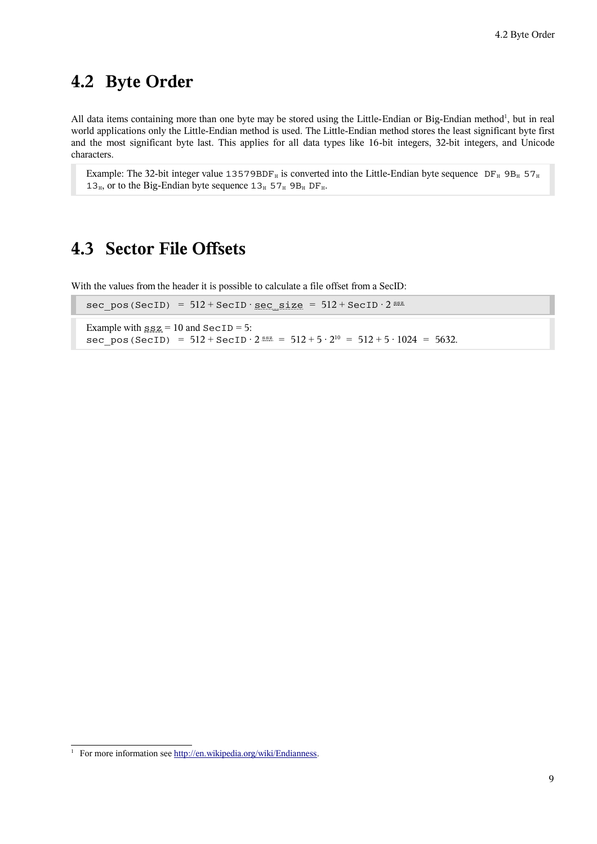# <span id="page-8-1"></span>**4.2 Byte Order**

All data items containing more than one byte may be stored using the Little-Endian or Big-Endian method<sup>[1](#page-8-2)</sup>, but in real world applications only the Little-Endian method is used. The Little-Endian method stores the least significant byte first and the most significant byte last. This applies for all data types like 16-bit integers, 32-bit integers, and Unicode characters.

Example: The 32-bit integer value 13579BDF<sub>H</sub> is converted into the Little-Endian byte sequence DF<sub>H</sub> 9B<sub>H</sub> 57<sub>H</sub> 13<sub>H</sub>, or to the Big-Endian byte sequence  $13_H$  57<sub>H</sub> 9B<sub>H</sub> DF<sub>H</sub>.

### <span id="page-8-0"></span>**4.3 Sector File Offsets**

With the values from the header it is possible to calculate a file offset from a SecID:

| sec pos (SecID) = $512 + \text{SecID} \cdot \text{sec size} = 512 + \text{SecID} \cdot 2^{\text{ssz}}$                                                                      |  |
|-----------------------------------------------------------------------------------------------------------------------------------------------------------------------------|--|
| Example with $\text{sgn} = 10$ and $\text{SecID} = 5$ :<br>sec pos (SecID) = $512 + \text{SecID} \cdot 2^{\text{ssz}} = 512 + 5 \cdot 2^{10} = 512 + 5 \cdot 1024 = 5632$ . |  |

<span id="page-8-2"></span><sup>&</sup>lt;sup>1</sup> For more information see [http://en.wikipedia.org/wiki/Endianness.](http://en.wikipedia.org/wiki/Endianness)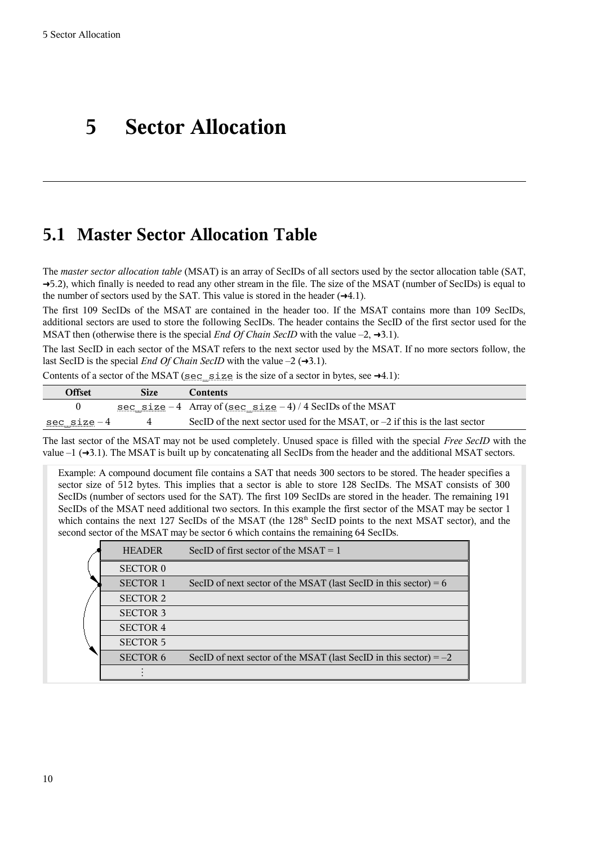# <span id="page-9-1"></span>**5 Sector Allocation**

### <span id="page-9-0"></span>**5.1 Master Sector Allocation Table**

The *master sector allocation table* (MSAT) is an array of SecIDs of all sectors used by the sector allocation table (SAT, →[5.2\)](#page-10-0), which finally is needed to read any other stream in the file. The size of the MSAT (number of SecIDs) is equal to the number of sectors used by the SAT. This value is stored in the header  $(\rightarrow 4.1)$  $(\rightarrow 4.1)$ .

The first 109 SecIDs of the MSAT are contained in the header too. If the MSAT contains more than 109 SecIDs, additional sectors are used to store the following SecIDs. The header contains the SecID of the first sector used for the MSAT then (otherwise there is the special *End Of Chain SecID* with the value  $-2$ ,  $\rightarrow$ [3.1\)](#page-5-0).

The last SecID in each sector of the MSAT refers to the next sector used by the MSAT. If no more sectors follow, the last SecID is the special *End Of Chain SecID* with the value  $-2$  ( $\rightarrow$ [3.1\)](#page-5-0).

| Contents of a sector of the MSAT (sec_size is the size of a sector in bytes, see $\rightarrow$ 4.1): |  |  |  |
|------------------------------------------------------------------------------------------------------|--|--|--|
|------------------------------------------------------------------------------------------------------|--|--|--|

| Offset             | Size | <b>Contents</b>                                                                |
|--------------------|------|--------------------------------------------------------------------------------|
|                    |      | <u>sec_size</u> -4 Array of ( <u>sec_size</u> -4) / 4 SecIDs of the MSAT       |
| <u>sec_size</u> -4 |      | SecID of the next sector used for the MSAT, or $-2$ if this is the last sector |

The last sector of the MSAT may not be used completely. Unused space is filled with the special *Free SecID* with the value  $-1$  ( $\rightarrow$ [3.1\)](#page-5-0). The MSAT is built up by concatenating all SecIDs from the header and the additional MSAT sectors.

Example: A compound document file contains a SAT that needs 300 sectors to be stored. The header specifies a sector size of 512 bytes. This implies that a sector is able to store 128 SecIDs. The MSAT consists of 300 SecIDs (number of sectors used for the SAT). The first 109 SecIDs are stored in the header. The remaining 191 SecIDs of the MSAT need additional two sectors. In this example the first sector of the MSAT may be sector 1 which contains the next 127 SecIDs of the MSAT (the 128<sup>th</sup> SecID points to the next MSAT sector), and the second sector of the MSAT may be sector 6 which contains the remaining 64 SecIDs.

| <b>HEADER</b>   | SecID of first sector of the MSAT $= 1$                             |
|-----------------|---------------------------------------------------------------------|
| <b>SECTOR 0</b> |                                                                     |
| <b>SECTOR 1</b> | SecID of next sector of the MSAT (last SecID in this sector) = $6$  |
| <b>SECTOR 2</b> |                                                                     |
| <b>SECTOR 3</b> |                                                                     |
| <b>SECTOR 4</b> |                                                                     |
| <b>SECTOR 5</b> |                                                                     |
| <b>SECTOR 6</b> | SecID of next sector of the MSAT (last SecID in this sector) $= -2$ |
|                 |                                                                     |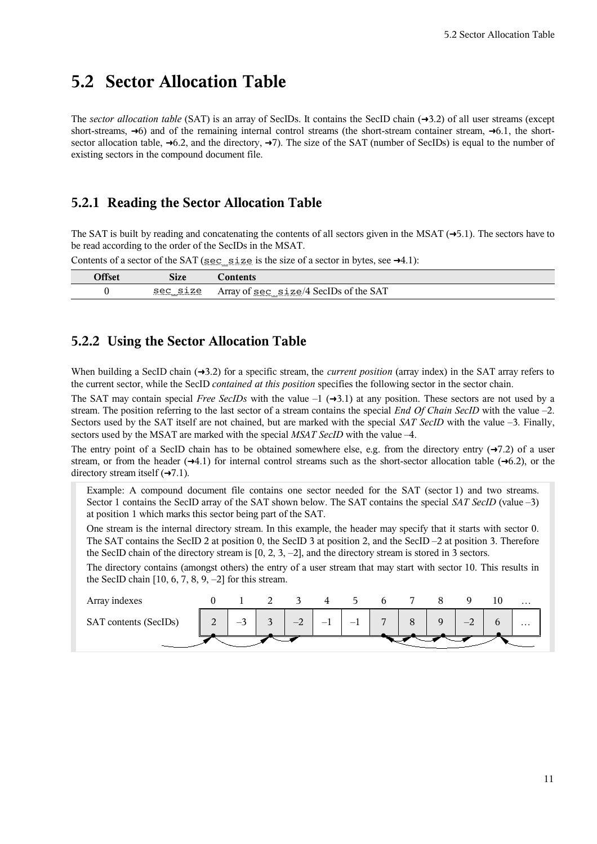### <span id="page-10-0"></span>**5.2 Sector Allocation Table**

The *sector allocation table* (SAT) is an array of SecIDs. It contains the SecID chain (➜[3.2\)](#page-6-0) of all user streams (except short-streams,  $\rightarrow$ [6\)](#page-11-0) and of the remaining internal control streams (the short-stream container stream,  $\rightarrow$ [6.1,](#page-11-2) the shortsector allocation table,  $\rightarrow$ [6.2,](#page-11-1) and the directory,  $\rightarrow$ [7\)](#page-12-0). The size of the SAT (number of SecIDs) is equal to the number of existing sectors in the compound document file.

#### **5.2.1 Reading the Sector Allocation Table**

The SAT is built by reading and concatenating the contents of all sectors given in the MSAT  $(\rightarrow 5.1)$  $(\rightarrow 5.1)$ . The sectors have to be read according to the order of the SecIDs in the MSAT.

|          |                                          | _                                                                                                |
|----------|------------------------------------------|--------------------------------------------------------------------------------------------------|
| $\Omega$ | r.<br><b>DILL</b>                        |                                                                                                  |
|          | $C \cap C$<br>$\overline{ }$<br>っしし<br>_ | T<br>$\sqrt{2}$<br>sec II.<br>the<br>5A I<br>Alld<br><u> ~~~~~</u><br>vı<br>.<br>. . <del></del> |

### Contents of a sector of the SAT (sec\_size is the size of a sector in bytes, see  $\rightarrow$ [4.1\)](#page-7-0):

#### **5.2.2 Using the Sector Allocation Table**

When building a SecID chain  $(\rightarrow 3.2)$  $(\rightarrow 3.2)$  for a specific stream, the *current position* (array index) in the SAT array refers to the current sector, while the SecID *contained at this position* specifies the following sector in the sector chain.

The SAT may contain special *Free SecIDs* with the value  $-1$  ( $\rightarrow$ [3.1\)](#page-5-0) at any position. These sectors are not used by a stream. The position referring to the last sector of a stream contains the special *End Of Chain SecID* with the value –2. Sectors used by the SAT itself are not chained, but are marked with the special *SAT SecID* with the value –3. Finally, sectors used by the MSAT are marked with the special *MSAT SecID* with the value –4.

The entry point of a SecID chain has to be obtained somewhere else, e.g. from the directory entry  $(\rightarrow 7.2)$  $(\rightarrow 7.2)$  of a user stream, or from the header  $(\rightarrow 4.1)$  $(\rightarrow 4.1)$  for internal control streams such as the short-sector allocation table  $(\rightarrow 6.2)$  $(\rightarrow 6.2)$ , or the directory stream itself  $(\rightarrow 7.1)$  $(\rightarrow 7.1)$ .

Example: A compound document file contains one sector needed for the SAT (sector 1) and two streams. Sector 1 contains the SecID array of the SAT shown below. The SAT contains the special *SAT SecID* (value –3) at position 1 which marks this sector being part of the SAT.

One stream is the internal directory stream. In this example, the header may specify that it starts with sector 0. The SAT contains the SecID 2 at position 0, the SecID 3 at position 2, and the SecID –2 at position 3. Therefore the SecID chain of the directory stream is [0, 2, 3, –2], and the directory stream is stored in 3 sectors.

The directory contains (amongst others) the entry of a user stream that may start with sector 10. This results in the SecID chain  $[10, 6, 7, 8, 9, -2]$  for this stream.

| Array indexes         |        |                                         |             |                |      | h    |                |             |                | $\cdots$ |
|-----------------------|--------|-----------------------------------------|-------------|----------------|------|------|----------------|-------------|----------------|----------|
| SAT contents (SecIDs) | $\sim$ | $\sim$<br>$\overline{\phantom{m}}$<br>- | $\sim$<br>┘ | $\sim$<br>$-4$ | $-1$ | $-1$ | $\overline{ }$ | $\mathbf Q$ | $\sim$<br>$-4$ | $\cdots$ |
|                       |        |                                         |             |                |      |      |                |             |                |          |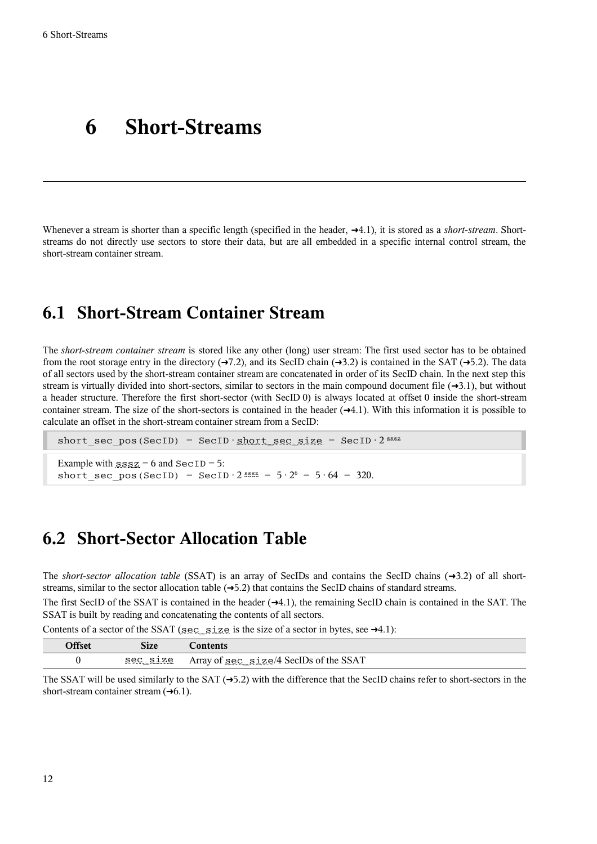# <span id="page-11-0"></span>**6 Short-Streams**

Whenever a stream is shorter than a specific length (specified in the header, →[4.1\)](#page-7-0), it is stored as a *short-stream*. Shortstreams do not directly use sectors to store their data, but are all embedded in a specific internal control stream, the short-stream container stream.

### <span id="page-11-2"></span>**6.1 Short-Stream Container Stream**

The *short-stream container stream* is stored like any other (long) user stream: The first used sector has to be obtained from the root storage entry in the directory  $(\rightarrow 7.2)$  $(\rightarrow 7.2)$ , and its SecID chain  $(\rightarrow 3.2)$  $(\rightarrow 3.2)$  is contained in the SAT  $(\rightarrow 5.2)$  $(\rightarrow 5.2)$ . The data of all sectors used by the short-stream container stream are concatenated in order of its SecID chain. In the next step this stream is virtually divided into short-sectors, similar to sectors in the main compound document file  $(\rightarrow 3.1)$  $(\rightarrow 3.1)$ , but without a header structure. Therefore the first short-sector (with SecID 0) is always located at offset 0 inside the short-stream container stream. The size of the short-sectors is contained in the header  $(\rightarrow 4.1)$  $(\rightarrow 4.1)$ . With this information it is possible to calculate an offset in the short-stream container stream from a SecID:

short sec pos(SecID) = SecID • short sec\_size = SecID •  $2^{sssz}$ 

Example with  $sssz = 6$  and  $SecID = 5$ : short sec pos(SecID) = SecID  $\cdot$  2 sssz =  $5 \cdot 2^6$  =  $5 \cdot 64$  = 320.

### <span id="page-11-1"></span>**6.2 Short-Sector Allocation Table**

The *short-sector* allocation table (SSAT) is an array of SecIDs and contains the SecID chains  $(\rightarrow 3.2)$  $(\rightarrow 3.2)$  of all shortstreams, similar to the sector allocation table  $(\rightarrow 5.2)$  $(\rightarrow 5.2)$  that contains the SecID chains of standard streams.

The first SecID of the SSAT is contained in the header  $(\rightarrow 4.1)$  $(\rightarrow 4.1)$ , the remaining SecID chain is contained in the SAT. The SSAT is built by reading and concatenating the contents of all sectors.

Contents of a sector of the SSAT (sec\_size is the size of a sector in bytes, see  $\rightarrow$ [4.1\)](#page-7-0):

| ነበር. | r.<br>S1ze                                       |                                                          |
|------|--------------------------------------------------|----------------------------------------------------------|
|      | 70<br>sec<br>ᅩ᠘ㄷ<br><br>$\overline{\phantom{a}}$ | $size/4$ SecIDs of the $\$$<br>Array of sec<br>SSA.<br>_ |

The SSAT will be used similarly to the SAT  $(\rightarrow 5.2)$  $(\rightarrow 5.2)$  with the difference that the SecID chains refer to short-sectors in the short-stream container stream  $(\rightarrow 6.1)$  $(\rightarrow 6.1)$ .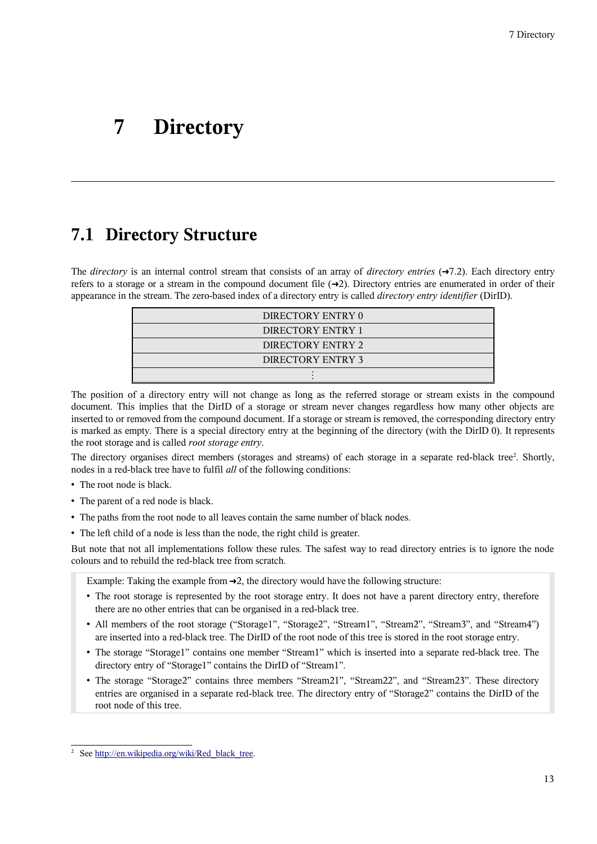# <span id="page-12-0"></span>**7 Directory**

### <span id="page-12-1"></span>**7.1 Directory Structure**

The *directory* is an internal control stream that consists of an array of *directory entries* (➜[7.2\)](#page-14-0). Each directory entry refers to a storage or a stream in the compound document file  $(\rightarrow 2)$  $(\rightarrow 2)$ . Directory entries are enumerated in order of their appearance in the stream. The zero-based index of a directory entry is called *directory entry identifier* (DirID).

| DIRECTORY ENTRY 0 |
|-------------------|
| DIRECTORY ENTRY 1 |
| DIRECTORY ENTRY 2 |
| DIRECTORY ENTRY 3 |
|                   |

The position of a directory entry will not change as long as the referred storage or stream exists in the compound document. This implies that the DirID of a storage or stream never changes regardless how many other objects are inserted to or removed from the compound document. If a storage or stream is removed, the corresponding directory entry is marked as empty. There is a special directory entry at the beginning of the directory (with the DirID 0). It represents the root storage and is called *root storage entry*.

The directory organises direct members (storages and streams) of each storage in a separate red-black tree<sup>[2](#page-12-2)</sup>. Shortly, nodes in a red-black tree have to fulfil *all* of the following conditions:

- The root node is black.
- The parent of a red node is black.
- The paths from the root node to all leaves contain the same number of black nodes.
- The left child of a node is less than the node, the right child is greater.

But note that not all implementations follow these rules. The safest way to read directory entries is to ignore the node colours and to rebuild the red-black tree from scratch.

Example: Taking the example from  $\rightarrow$  [2,](#page-4-0) the directory would have the following structure:

- The root storage is represented by the root storage entry. It does not have a parent directory entry, therefore there are no other entries that can be organised in a red-black tree.
- All members of the root storage ("Storage1", "Storage2", "Stream1", "Stream2", "Stream3", and "Stream4") are inserted into a red-black tree. The DirID of the root node of this tree is stored in the root storage entry.
- The storage "Storage1" contains one member "Stream1" which is inserted into a separate red-black tree. The directory entry of "Storage1" contains the DirID of "Stream1".
- The storage "Storage2" contains three members "Stream21", "Stream22", and "Stream23". These directory entries are organised in a separate red-black tree. The directory entry of "Storage2" contains the DirID of the root node of this tree.

<span id="page-12-2"></span><sup>&</sup>lt;sup>2</sup> See [http://en.wikipedia.org/wiki/Red\\_black\\_tree.](http://en.wikipedia.org/wiki/Red_black_tree)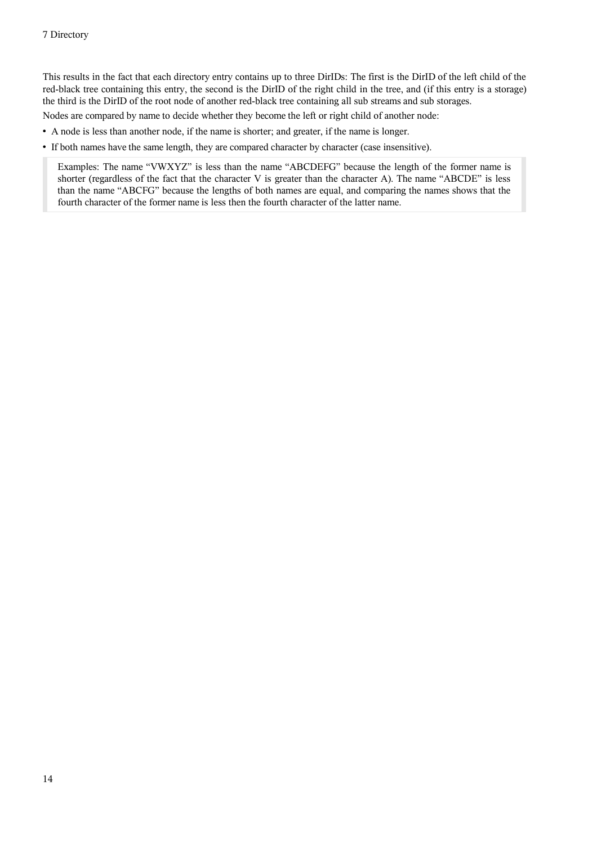This results in the fact that each directory entry contains up to three DirIDs: The first is the DirID of the left child of the red-black tree containing this entry, the second is the DirID of the right child in the tree, and (if this entry is a storage) the third is the DirID of the root node of another red-black tree containing all sub streams and sub storages.

Nodes are compared by name to decide whether they become the left or right child of another node:

- A node is less than another node, if the name is shorter; and greater, if the name is longer.
- If both names have the same length, they are compared character by character (case insensitive).

Examples: The name "VWXYZ" is less than the name "ABCDEFG" because the length of the former name is shorter (regardless of the fact that the character V is greater than the character A). The name "ABCDE" is less than the name "ABCFG" because the lengths of both names are equal, and comparing the names shows that the fourth character of the former name is less then the fourth character of the latter name.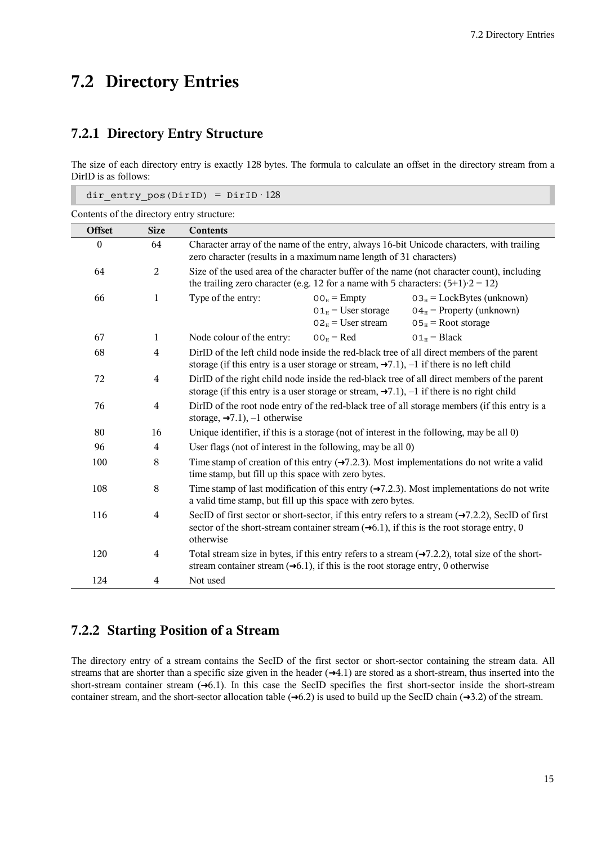T

# <span id="page-14-0"></span>**7.2 Directory Entries**

#### **7.2.1 Directory Entry Structure**

The size of each directory entry is exactly 128 bytes. The formula to calculate an offset in the directory stream from a DirID is as follows:

|               |                | dir entry pos(DirID) = $DirID \cdot 128$                                                     |                                                                                  |                                                                                                                                                                                                                          |
|---------------|----------------|----------------------------------------------------------------------------------------------|----------------------------------------------------------------------------------|--------------------------------------------------------------------------------------------------------------------------------------------------------------------------------------------------------------------------|
|               |                | Contents of the directory entry structure:                                                   |                                                                                  |                                                                                                                                                                                                                          |
| <b>Offset</b> | <b>Size</b>    | <b>Contents</b>                                                                              |                                                                                  |                                                                                                                                                                                                                          |
| $\theta$      | 64             | zero character (results in a maximum name length of 31 characters)                           |                                                                                  | Character array of the name of the entry, always 16-bit Unicode characters, with trailing                                                                                                                                |
| 64            | $\overline{2}$ | the trailing zero character (e.g. 12 for a name with 5 characters: $(5+1)$ ·2 = 12)          |                                                                                  | Size of the used area of the character buffer of the name (not character count), including                                                                                                                               |
| 66            | $\mathbf{1}$   | Type of the entry:                                                                           | $00H$ = Empty<br>$01_{\text{H}}$ = User storage<br>$02_{\text{H}}$ = User stream | $03_H$ = LockBytes (unknown)<br>$04_H$ = Property (unknown)<br>$05H$ = Root storage                                                                                                                                      |
| 67            | $\mathbf{1}$   | Node colour of the entry:                                                                    | $00_H = Red$                                                                     | $01_H = Black$                                                                                                                                                                                                           |
| 68            | $\overline{4}$ |                                                                                              |                                                                                  | DirID of the left child node inside the red-black tree of all direct members of the parent<br>storage (if this entry is a user storage or stream, $\rightarrow 7.1$ ), -1 if there is no left child                      |
| 72            | $\overline{4}$ |                                                                                              |                                                                                  | DirID of the right child node inside the red-black tree of all direct members of the parent<br>storage (if this entry is a user storage or stream, $\rightarrow 7.1$ ), -1 if there is no right child                    |
| 76            | $\overline{4}$ | storage, $\rightarrow 7.1$ ), -1 otherwise                                                   |                                                                                  | DirID of the root node entry of the red-black tree of all storage members (if this entry is a                                                                                                                            |
| 80            | 16             |                                                                                              |                                                                                  | Unique identifier, if this is a storage (not of interest in the following, may be all 0)                                                                                                                                 |
| 96            | $\overline{4}$ | User flags (not of interest in the following, may be all 0)                                  |                                                                                  |                                                                                                                                                                                                                          |
| 100           | 8              | time stamp, but fill up this space with zero bytes.                                          |                                                                                  | Time stamp of creation of this entry $(\rightarrow 7.2.3)$ . Most implementations do not write a valid                                                                                                                   |
| 108           | 8              | a valid time stamp, but fill up this space with zero bytes.                                  |                                                                                  | Time stamp of last modification of this entry $(\rightarrow 7.2.3)$ . Most implementations do not write                                                                                                                  |
| 116           | $\overline{4}$ | otherwise                                                                                    |                                                                                  | SecID of first sector or short-sector, if this entry refers to a stream $(\rightarrow 7.2.2)$ , SecID of first<br>sector of the short-stream container stream $(\rightarrow 6.1)$ , if this is the root storage entry, 0 |
| 120           | $\overline{4}$ | stream container stream $(\rightarrow 6.1)$ , if this is the root storage entry, 0 otherwise |                                                                                  | Total stream size in bytes, if this entry refers to a stream $(\rightarrow 7.2.2)$ , total size of the short-                                                                                                            |
| 124           | $\overline{4}$ | Not used                                                                                     |                                                                                  |                                                                                                                                                                                                                          |

#### <span id="page-14-1"></span>**7.2.2 Starting Position of a Stream**

The directory entry of a stream contains the SecID of the first sector or short-sector containing the stream data. All streams that are shorter than a specific size given in the header  $(\rightarrow 4.1)$  $(\rightarrow 4.1)$  are stored as a short-stream, thus inserted into the short-stream container stream  $(\rightarrow 6.1)$  $(\rightarrow 6.1)$ . In this case the SecID specifies the first short-sector inside the short-stream container stream, and the short-sector allocation table  $(\rightarrow 6.2)$  $(\rightarrow 6.2)$  is used to build up the SecID chain  $(\rightarrow 3.2)$  $(\rightarrow 3.2)$  of the stream.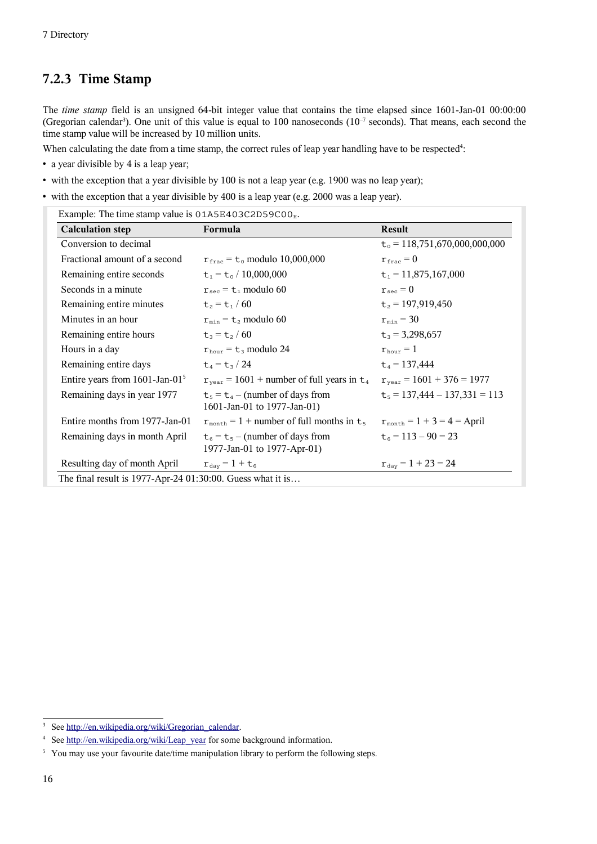### <span id="page-15-0"></span>**7.2.3 Time Stamp**

The *time stamp* field is an unsigned 64-bit integer value that contains the time elapsed since 1601-Jan-01 00:00:00 (Gregorian calendar<sup>[3](#page-15-1)</sup>). One unit of this value is equal to 100 nanoseconds ( $10^{-7}$  seconds). That means, each second the time stamp value will be increased by 10 million units.

When calculating the date from a time stamp, the correct rules of leap year handling have to be respected<sup>[4](#page-15-2)</sup>:

- a year divisible by 4 is a leap year;
- with the exception that a year divisible by 100 is not a leap year (e.g. 1900 was no leap year);
- with the exception that a year divisible by 400 is a leap year (e.g. 2000 was a leap year).

|  | Example: The time stamp value is 01A5E403C2D59C00 <sub>H</sub> . |  |  |  |
|--|------------------------------------------------------------------|--|--|--|
|--|------------------------------------------------------------------|--|--|--|

| <b>Calculation step</b>                                    | Formula                                                           | Result                                |
|------------------------------------------------------------|-------------------------------------------------------------------|---------------------------------------|
| Conversion to decimal                                      |                                                                   | $t_0$ = 118,751,670,000,000,000       |
| Fractional amount of a second                              | $r_{\text{frac}} = t_0$ modulo 10,000,000                         | $r_{\text{frac}}=0$                   |
| Remaining entire seconds                                   | $t_1 = t_0 / 10,000,000$                                          | $t_1$ = 11,875,167,000                |
| Seconds in a minute                                        | $r_{\text{sec}} = t_1$ modulo 60                                  | $r_{\rm sec} = 0$                     |
| Remaining entire minutes                                   | $t_2 = t_1 / 60$                                                  | $t_2$ = 197,919,450                   |
| Minutes in an hour                                         | $r_{\min}$ = $t_2$ modulo 60                                      | $r_{\min} = 30$                       |
| Remaining entire hours                                     | $t_3 = t_2 / 60$                                                  | $t_3$ = 3,298,657                     |
| Hours in a day                                             | $r_{\text{hour}}$ = $t_3$ modulo 24                               | $r_{\text{hour}} = 1$                 |
| Remaining entire days                                      | $t_4 = t_3 / 24$                                                  | $t_4$ = 137,444                       |
| Entire years from 1601-Jan-01 <sup>5</sup>                 | $r_{\text{year}} = 1601 + \text{number of full years in } t_4$    | $r_{\text{year}} = 1601 + 376 = 1977$ |
| Remaining days in year 1977                                | $t_5 = t_4$ – (number of days from<br>1601-Jan-01 to 1977-Jan-01) | $t_5 = 137,444 - 137,331 = 113$       |
| Entire months from 1977-Jan-01                             | $r_{\text{month}} = 1 + \text{number of full months in } t_5$     | $r_{\rm month} = 1 + 3 = 4 =$ April   |
| Remaining days in month April                              | $t_6 = t_5$ – (number of days from<br>1977-Jan-01 to 1977-Apr-01) | $t_6 = 113 - 90 = 23$                 |
| Resulting day of month April                               | $r_{\rm day} = 1 + t_6$                                           | $r_{\text{day}} = 1 + 23 = 24$        |
| The final result is 1977-Apr-24 01:30:00. Guess what it is |                                                                   |                                       |

<span id="page-15-1"></span><sup>&</sup>lt;sup>3</sup> See [http://en.wikipedia.org/wiki/Gregorian\\_calendar.](http://en.wikipedia.org/wiki/Gregorian_calendar)

<span id="page-15-2"></span><sup>4</sup> See [http://en.wikipedia.org/wiki/Leap\\_year](http://en.wikipedia.org/wiki/Leap_year) for some background information.

<span id="page-15-3"></span><sup>&</sup>lt;sup>5</sup> You may use your favourite date/time manipulation library to perform the following steps.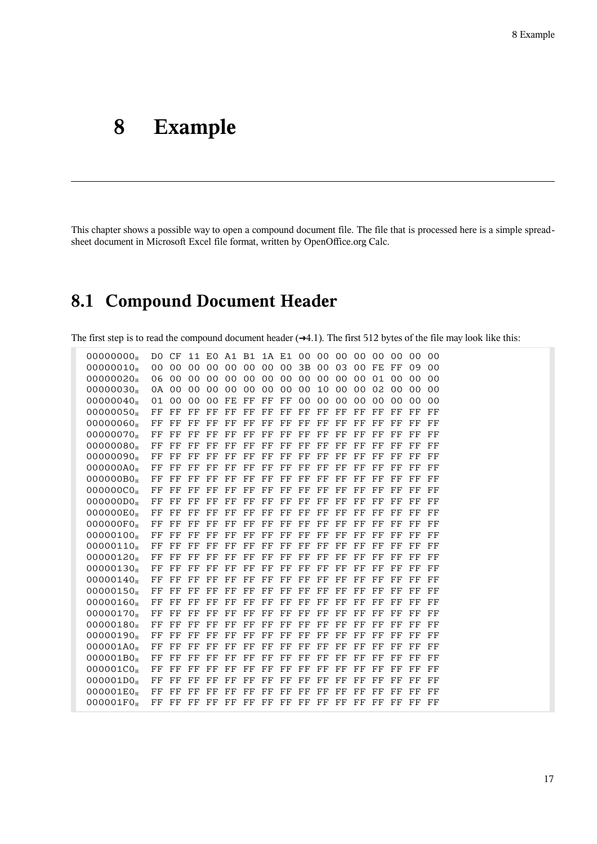# **8 Example**

This chapter shows a possible way to open a compound document file. The file that is processed here is a simple spreadsheet document in Microsoft Excel file format, written by OpenOffice.org Calc.

# **8.1 Compound Document Header**

The first step is to read the compound document header  $(\rightarrow 4.1)$  $(\rightarrow 4.1)$ . The first 512 bytes of the file may look like this:

| 00000000              |    |             |             |             |             |                     |                |             | DO CF 11 EO A1 B1 1A E1 00 00 00 00 00 00 |                 |                |                |                |                | 00             | 00             |  |
|-----------------------|----|-------------|-------------|-------------|-------------|---------------------|----------------|-------------|-------------------------------------------|-----------------|----------------|----------------|----------------|----------------|----------------|----------------|--|
| 00000010              |    |             |             |             |             |                     |                |             | 00 00 00 00 00 00 00 00 3B 00 03          |                 |                | 00             | FE FF          |                | 09             | 0 <sup>0</sup> |  |
| 00000020              |    | 06 00       |             | 00 00       | 00          |                     |                |             | 00 00 00 00                               |                 | 00 00          | 00             | 01 00          |                | 0 <sup>0</sup> | 0 <sup>0</sup> |  |
| 00000030 <sub>H</sub> |    | 0A 00       |             | 00 00       | 00          | $00\,$              | 0 <sup>0</sup> | $00\,$      | $00 \,$                                   | 10              | 0 <sub>0</sub> | 0 <sub>0</sub> | 0 <sub>2</sub> | 0 <sub>0</sub> | 0 <sub>0</sub> | 0 <sub>0</sub> |  |
| 00000040              |    | 01 00       |             | 00 00       | FE          | $_{\rm FF}$         | FF             | $_{\rm FF}$ | 00 <sub>o</sub>                           | 00 <sup>o</sup> | 0 <sup>0</sup> | 0 <sub>0</sub> | 0 <sub>0</sub> | 0 <sub>0</sub> | 0 <sub>0</sub> | 0 <sub>0</sub> |  |
| 00000050              | FF | $_{\rm FF}$ | FF          | $\rm FF$    | $_{\rm FF}$ | FF                  | FF             | $_{\rm FF}$ | $_{\rm FF}$                               | FF              | $_{\rm FF}$    | $_{\rm FF}$    | $_{\rm FF}$    | FF             | FF             | $_{\rm FF}$    |  |
| 00000060              | FF | FF          | $\rm FF$    | $_{\rm FF}$ | FF          | $\overline{\rm FF}$ | $_{\rm FF}$    | $_{\rm FF}$ | $_{\rm FF}$                               | FF              | $_{\rm FF}$    | FF             | $_{\rm FF}$    | FF             | FF             | FF             |  |
| 00000070              | FF | $_{\rm FF}$ | $_{\rm FF}$ | $_{\rm FF}$ | FF          | $_{\rm FF}$         | FF             | FF          | FF                                        | FF              | FF             | FF             | $_{\rm FF}$    | FF             | FF             | FF             |  |
| 00000080              | FF | $_{\rm FF}$ | $_{\rm FF}$ | FF          | $_{\rm FF}$ | $_{\rm FF}$         | $_{\rm FF}$    | $_{\rm FF}$ | FF                                        | FF              | $_{\rm FF}$    | FF             | $_{\rm FF}$    | $_{\rm FF}$    | FF             | FF             |  |
| 00000090 <sub>H</sub> | FF | $_{\rm FF}$ | $_{\rm FF}$ | $_{\rm FF}$ | $_{\rm FF}$ | $_{\rm FF}$         | $_{\rm FF}$    | $_{\rm FF}$ | $_{\rm FF}$                               | $_{\rm FF}$     | $_{\rm FF}$    | $_{\rm FF}$    | $_{\rm FF}$    | $_{\rm FF}$    | FF             | FF             |  |
| 000000A0 <sub>H</sub> | FF | FF          | $_{\rm FF}$ | $_{\rm FF}$ | FF          | $_{\rm FF}$         | $_{\rm FF}$    | FF          | FF                                        | FF              | $_{\rm FF}$    | FF             | $_{\rm FF}$    | FF             | FF             | FF             |  |
| 000000B0 <sub>H</sub> | FF | FF          | $_{\rm FF}$ | FF          | $_{\rm FF}$ | FF                  | $_{\rm FF}$    | $_{\rm FF}$ | FF                                        | FF              | $_{\rm FF}$    | FF             | FF             | FF             | FF             | FF             |  |
| 000000C0 <sub>H</sub> | FF | $_{\rm FF}$ | $_{\rm FF}$ | FF          | $_{\rm FF}$ | $_{\rm FF}$         | FF             | $_{\rm FF}$ | $_{\rm FF}$                               | $_{\rm FF}$     | $_{\rm FF}$    | FF             | $_{\rm FF}$    | $_{\rm FF}$    | FF             | FF             |  |
| 00000000              | FF | $_{\rm FF}$ | $\rm FF$    | $_{\rm FF}$ | FF          | $_{\rm FF}$         | $_{\rm FF}$    | $_{\rm FF}$ | $_{\rm FF}$                               | $_{\rm FF}$     | $_{\rm FF}$    | $_{\rm FF}$    | $_{\rm FF}$    | $_{\rm FF}$    | FF             | $_{\rm FF}$    |  |
| 000000E0 <sub>H</sub> | FF | $_{\rm FF}$ | $_{\rm FF}$ | $_{\rm FF}$ | FF          | FF                  | $_{\rm FF}$    | FF          | FF                                        | $_{\rm FF}$     | $_{\rm FF}$    | FF             | $_{\rm FF}$    | FF             | FF             | FF             |  |
| 000000F0 <sub>H</sub> | FF | $_{\rm FF}$ | $_{\rm FF}$ | $_{\rm FF}$ | $_{\rm FF}$ | FF                  | $_{\rm FF}$    | $_{\rm FF}$ | $_{\rm FF}$                               | FF              | $_{\rm FF}$    | FF             | $_{\rm FF}$    | FF             | FF             | FF             |  |
| 00000100              | FF | $_{\rm FF}$ | FF          | $_{\rm FF}$ | FF          | FF                  | $_{\rm FF}$    | $_{\rm FF}$ | $_{\rm FF}$                               | FF              | $_{\rm FF}$    | FF             | $_{\rm FF}$    | FF             | FF             | FF             |  |
| 00000110              | FF | $_{\rm FF}$ | $_{\rm FF}$ | FF          | FF          | FF                  | FF             | FF          | FF                                        | FF              | FF             | FF             | $_{\rm FF}$    | FF             | FF             | FF             |  |
| 00000120              | FF | $_{\rm FF}$ | $_{\rm FF}$ | $_{\rm FF}$ | $_{\rm FF}$ | $_{\rm FF}$         | $_{\rm FF}$    | FF          | $_{\rm FF}$                               | $_{\rm FF}$     | $_{\rm FF}$    | FF             | $_{\rm FF}$    | FF             | FF             | FF             |  |
| 00000130              | FF | $_{\rm FF}$ | $\rm FF$    | $_{\rm FF}$ | $_{\rm FF}$ | $_{\rm FF}$         | $_{\rm FF}$    | $_{\rm FF}$ | $_{\rm FF}$                               | $_{\rm FF}$     | $_{\rm FF}$    | FF             | $_{\rm FF}$    | FF             | FF             | FF             |  |
| 00000140 <sub>H</sub> | FF | $_{\rm FF}$ | $_{\rm FF}$ | FF          | FF          | $_{\rm FF}$         | $_{\rm FF}$    | FF          | $_{\rm FF}$                               | FF              | $_{\rm FF}$    | FF             | $_{\rm FF}$    | FF             | FF             | FF             |  |
| 00000150              | FF | $_{\rm FF}$ | $_{\rm FF}$ | $_{\rm FF}$ | $_{\rm FF}$ | $_{\rm FF}$         | $_{\rm FF}$    | $_{\rm FF}$ | $_{\rm FF}$                               | FF              | $_{\rm FF}$    | FF             | FF             | FF             | $_{\rm FF}$    | $_{\rm FF}$    |  |
| 00000160 <sub>H</sub> | FF | $_{\rm FF}$ | $_{\rm FF}$ | FF          | FF          | $_{\rm FF}$         | $_{\rm FF}$    | $_{\rm FF}$ | $_{\rm FF}$                               | $_{\rm FF}$     | $_{\rm FF}$    | FF             | $_{\rm FF}$    | $_{\rm FF}$    | FF             | FF             |  |
| 00000170              | FF | $_{\rm FF}$ | $_{\rm FF}$ | $_{\rm FF}$ | $_{\rm FF}$ | $_{\rm FF}$         | $_{\rm FF}$    | $_{\rm FF}$ | $_{\rm FF}$                               | $_{\rm FF}$     | FF             | $_{\rm FF}$    | $_{\rm FF}$    | FF             | FF             | $_{\rm FF}$    |  |
| 00000180              | FF | $_{\rm FF}$ | $_{\rm FF}$ | $_{\rm FF}$ | FF          | $_{\rm FF}$         | $_{\rm FF}$    | FF          | FF                                        | FF              | $_{\rm FF}$    | FF             | $_{\rm FF}$    | $_{\rm FF}$    | FF             | FF             |  |
| 00000190              | FF | FF          | $_{\rm FF}$ | $_{\rm FF}$ | FF          | $_{\rm FF}$         | $_{\rm FF}$    | $_{\rm FF}$ | $_{\rm FF}$                               | FF              | $_{\rm FF}$    | FF             | $_{\rm FF}$    | FF             | FF             | FF             |  |
| 000001A0 <sub>H</sub> | FF | FF          | $_{\rm FF}$ | $_{\rm FF}$ | FF          | $_{\rm FF}$         | $_{\rm FF}$    | $_{\rm FF}$ | $_{\rm FF}$                               | $_{\rm FF}$     | $_{\rm FF}$    | $_{\rm FF}$    | $_{\rm FF}$    | FF             | FF             | FF             |  |
| 000001B0 <sub>H</sub> | FF | $_{\rm FF}$ | $_{\rm FF}$ | $_{\rm FF}$ | FF          | $_{\rm FF}$         | $_{\rm FF}$    | FF          | FF                                        | FF              | $_{\rm FF}$    | FF             | $_{\rm FF}$    | FF             | FF             | FF             |  |
| 000001C0 <sub>H</sub> | FF | $_{\rm FF}$ | $_{\rm FF}$ | $_{\rm FF}$ | $_{\rm FF}$ | $_{\rm FF}$         | FF             | $_{\rm FF}$ | $_{\rm FF}$                               | $_{\rm FF}$     | $_{\rm FF}$    | FF             | $_{\rm FF}$    | FF             | FF             | FF             |  |
| 000001D0 <sub>H</sub> | FF | $_{\rm FF}$ | $_{\rm FF}$ | $_{\rm FF}$ | FF          | $\rm FF$            | $_{\rm FF}$    | $_{\rm FF}$ | FF                                        | $_{\rm FF}$     | FF             | FF             | $_{\rm FF}$    | FF             | FF             | FF             |  |
| 000001E0 <sub>H</sub> | FF | FF          | $_{\rm FF}$ | $_{\rm FF}$ | $\rm FF$    | FF                  | $_{\rm FF}$    | FF          | FF                                        | FF              | $_{\rm FF}$    | FF             | $_{\rm FF}$    | FF             | FF             | FF             |  |
| 000001F0 <sub>H</sub> |    |             |             |             |             |                     |                |             | FF FF FF FF FF FF FF FF FF FF FF FF FF    |                 |                |                |                | $_{\rm FF}$    | FF.            | - FF           |  |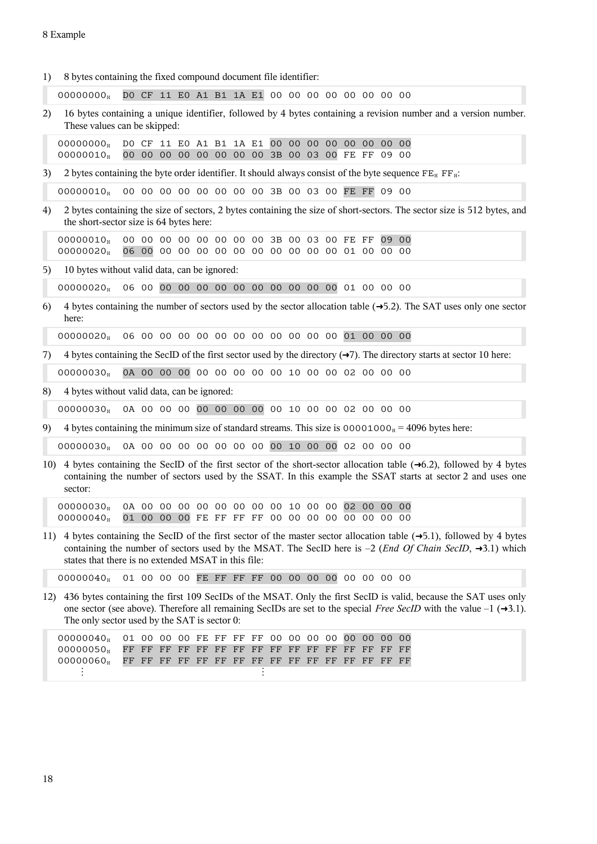| 1)  | 8 bytes containing the fixed compound document file identifier:                                             |  |  |  |  |                                                                                                    |  |       |       |          |       |                |                                                                                                                                                                                                                                                              |
|-----|-------------------------------------------------------------------------------------------------------------|--|--|--|--|----------------------------------------------------------------------------------------------------|--|-------|-------|----------|-------|----------------|--------------------------------------------------------------------------------------------------------------------------------------------------------------------------------------------------------------------------------------------------------------|
|     | 0000000 <sub>H</sub>                                                                                        |  |  |  |  | DO CF 11 EO A1 B1 1A E1 00 00 00 00 00 00 00 00                                                    |  |       |       |          |       |                |                                                                                                                                                                                                                                                              |
| 2)  | These values can be skipped:                                                                                |  |  |  |  |                                                                                                    |  |       |       |          |       |                | 16 bytes containing a unique identifier, followed by 4 bytes containing a revision number and a version number.                                                                                                                                              |
|     | 00000000 <sub>H</sub><br>00000010 <sub>H</sub>                                                              |  |  |  |  | DO CF 11 EO A1 B1 1A E1 00 00<br>00 00 00 00 00 00 00 00 3B 00 03 00 FE FF 09 00                   |  | 00 00 |       | 00 00 00 |       | 0 <sup>0</sup> |                                                                                                                                                                                                                                                              |
| 3)  | 2 bytes containing the byte order identifier. It should always consist of the byte sequence $FE_H$ $FF_H$ : |  |  |  |  |                                                                                                    |  |       |       |          |       |                |                                                                                                                                                                                                                                                              |
|     | 00000010 <sub>H</sub>                                                                                       |  |  |  |  | 00 00 00 00 00 00 00 00 3B 00 03 00 FE FF 09 00                                                    |  |       |       |          |       |                |                                                                                                                                                                                                                                                              |
| 4)  | the short-sector size is 64 bytes here:                                                                     |  |  |  |  |                                                                                                    |  |       |       |          |       |                | 2 bytes containing the size of sectors, 2 bytes containing the size of short-sectors. The sector size is 512 bytes, and                                                                                                                                      |
|     | 00000010<br>00000020 <sub>H</sub>                                                                           |  |  |  |  | 00 00 00 00 00 00 00 00 3B 00 03 00 FE FF                                                          |  |       |       |          | 09 00 |                |                                                                                                                                                                                                                                                              |
| 5)  | 10 bytes without valid data, can be ignored:                                                                |  |  |  |  |                                                                                                    |  |       |       |          |       |                |                                                                                                                                                                                                                                                              |
|     | 00000020 <sub>H</sub>                                                                                       |  |  |  |  |                                                                                                    |  |       |       |          |       |                |                                                                                                                                                                                                                                                              |
| 6)  | here:                                                                                                       |  |  |  |  |                                                                                                    |  |       |       |          |       |                | 4 bytes containing the number of sectors used by the sector allocation table $(\rightarrow 5.2)$ . The SAT uses only one sector                                                                                                                              |
|     | 00000020                                                                                                    |  |  |  |  |                                                                                                    |  |       |       |          |       |                |                                                                                                                                                                                                                                                              |
| 7)  |                                                                                                             |  |  |  |  |                                                                                                    |  |       |       |          |       |                | 4 bytes containing the SecID of the first sector used by the directory $(\rightarrow 7)$ . The directory starts at sector 10 here:                                                                                                                           |
|     | 00000030 <sub>H</sub>                                                                                       |  |  |  |  | 0A 00 00 00 00 00 00 00 00 10 00 00 02 00 00 00                                                    |  |       |       |          |       |                |                                                                                                                                                                                                                                                              |
| 8)  | 4 bytes without valid data, can be ignored:                                                                 |  |  |  |  |                                                                                                    |  |       |       |          |       |                |                                                                                                                                                                                                                                                              |
|     | 00000030 <sub>H</sub>                                                                                       |  |  |  |  | 0A 00 00 00 00 00 00 00 00 10 00 00 02 00 00 00                                                    |  |       |       |          |       |                |                                                                                                                                                                                                                                                              |
| 9)  | 4 bytes containing the minimum size of standard streams. This size is $00001000H = 4096$ bytes here:        |  |  |  |  |                                                                                                    |  |       |       |          |       |                |                                                                                                                                                                                                                                                              |
|     | 00000030                                                                                                    |  |  |  |  | 0A 00 00 00 00 00 00 00 00 10 00 00 02 00 00 00                                                    |  |       |       |          |       |                |                                                                                                                                                                                                                                                              |
| 10) | sector:                                                                                                     |  |  |  |  |                                                                                                    |  |       |       |          |       |                | 4 bytes containing the SecID of the first sector of the short-sector allocation table $(\rightarrow 6.2)$ , followed by 4 bytes<br>containing the number of sectors used by the SSAT. In this example the SSAT starts at sector 2 and uses one               |
|     | 00000030 <sub>H</sub><br>00000040 <sub>H</sub>                                                              |  |  |  |  | 0A 00 00 00 00 00 00 00 00 10 00 00 02 00 00 00<br>01 00 00 00 FE FF FF FF 00 00 00 00 00 00 00 00 |  |       |       |          |       |                |                                                                                                                                                                                                                                                              |
| 11) | states that there is no extended MSAT in this file:                                                         |  |  |  |  |                                                                                                    |  |       |       |          |       |                | 4 bytes containing the SecID of the first sector of the master sector allocation table $(\rightarrow 5.1)$ , followed by 4 bytes<br>containing the number of sectors used by the MSAT. The SecID here is $-2$ (End Of Chain SecID, $\rightarrow 3.1$ ) which |
|     | 00000040 <sub>H</sub>                                                                                       |  |  |  |  | 01 00 00 00 FE FF FF FF 00 00 00 00 00 00 00 00                                                    |  |       |       |          |       |                |                                                                                                                                                                                                                                                              |
| 12) | The only sector used by the SAT is sector 0:                                                                |  |  |  |  |                                                                                                    |  |       |       |          |       |                | 436 bytes containing the first 109 SecIDs of the MSAT. Only the first SecID is valid, because the SAT uses only<br>one sector (see above). Therefore all remaining SecIDs are set to the special Free SecID with the value $-1$ ( $\rightarrow$ 3.1).        |
|     | 00000040 <sub>H</sub><br>00000050 <sub>H</sub><br>00000060 <sub>H</sub>                                     |  |  |  |  | 01 00 00 00 FE FF FF FF 00 00 00 00                                                                |  |       | 00 00 |          | 00    | 0 <sup>0</sup> |                                                                                                                                                                                                                                                              |

 $\frac{1}{2}$  is the set of the set of the set of the set of the set of the set of the set of the set of the set of the set of the set of the set of the set of the set of the set of the set of the set of the set of the set of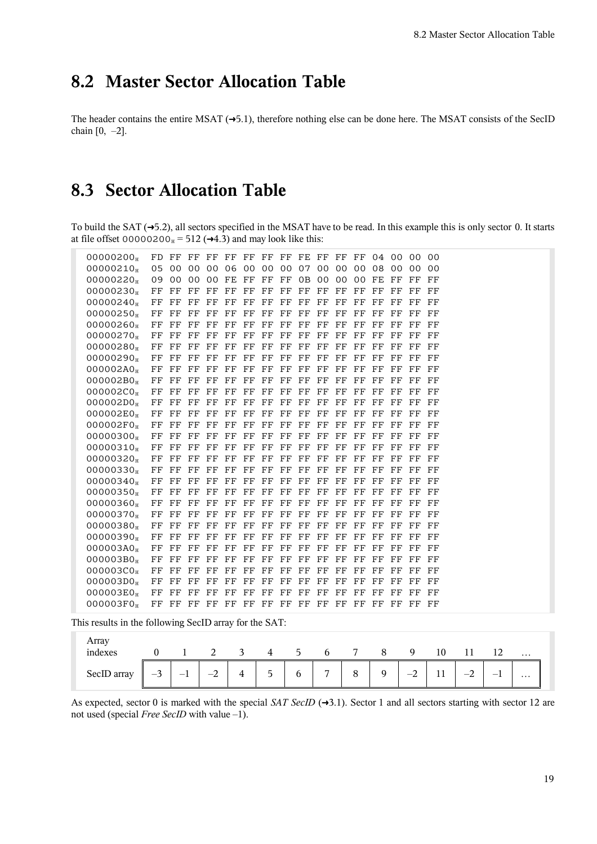# **8.2 Master Sector Allocation Table**

The header contains the entire MSAT  $(\rightarrow 5.1)$  $(\rightarrow 5.1)$ , therefore nothing else can be done here. The MSAT consists of the SecID chain  $[0, -2]$ .

# **8.3 Sector Allocation Table**

To build the SAT  $(\rightarrow 5.2)$  $(\rightarrow 5.2)$ , all sectors specified in the MSAT have to be read. In this example this is only sector 0. It starts at file offset 00000200 $_{\text{H}}$  = 512 ( $\rightarrow$ [4.3\)](#page-8-0) and may look like this:

| 00000200              |       |             |             |                                              |             |             |                         |  |    |             |             |             |             | FD FF FF FF FF FF FF FF FE FF FF FF 04 00 00 | 00          |
|-----------------------|-------|-------------|-------------|----------------------------------------------|-------------|-------------|-------------------------|--|----|-------------|-------------|-------------|-------------|----------------------------------------------|-------------|
| 00000210              |       |             |             | 05 00 00 00 06 00 00 00 07 00 00 00 08 00 00 |             |             |                         |  |    |             |             |             |             |                                              | 00          |
| 00000220              |       |             |             | 09 00 00 00 FE FF FF FF 0B 00 00 00 FE FF    |             |             |                         |  |    |             |             |             |             | $_{\rm FF}$                                  | FF          |
| 00000230              | FF FF |             | FF FF       |                                              | $_{\rm FF}$ |             | FF FF FF FF FF FF FF FF |  |    |             |             |             | FF.         | FF.                                          | $_{\rm FF}$ |
| 00000240              |       |             |             | FF FF FF FF FF                               |             |             | FF FF FF FF FF FF FF FF |  |    |             |             |             | $_{\rm FF}$ | FF                                           | FF          |
| 00000250              | FF    | $_{\rm FF}$ | FF FF       |                                              | $_{\rm FF}$ |             | FF FF FF FF             |  | FF | $_{\rm FF}$ | FF          | $_{\rm FF}$ | $_{\rm FF}$ | FF                                           | FF          |
| 00000260              | FF FF |             | FF FF       |                                              | FF          |             | FF FF FF FF FF FF       |  |    |             | FF          | $_{\rm FF}$ | FF          | FF                                           | FF          |
| 00000270              |       |             |             | FF FF FF FF FF FF FF FF FF FF FF FF FF       |             |             |                         |  |    |             |             |             | $_{\rm FF}$ | FF                                           | FF          |
| 00000280              |       |             | FF FF FF FF |                                              | $_{\rm FF}$ |             | FF FF FF FF FF FF FF    |  |    |             |             | $_{\rm FF}$ | $_{\rm FF}$ | $_{\rm FF}$                                  | $_{\rm FF}$ |
| 00000290              | FF FF |             | FF FF       |                                              | $_{\rm FF}$ | $_{\rm FF}$ | FF FF FF FF FF FF FF    |  |    |             |             |             | FF          | FF                                           | FF          |
| 000002A0 <sub>H</sub> |       |             |             | FF FF FF FF FF                               |             |             | FF FF FF FF FF FF FF FF |  |    |             |             |             | FF          | $_{\rm FF}$                                  | - FF        |
| 000002B0 <sub>H</sub> |       |             |             | FF FF FF FF FF                               |             |             | FF FF FF FF FF FF FF FF |  |    |             |             |             | $_{\rm FF}$ | FF                                           | $_{\rm FF}$ |
| 000002C0 <sub>H</sub> | FF FF |             | FF FF       |                                              | FF          |             | FF FF FF FF FF FF FF FF |  |    |             |             |             | $_{\rm FF}$ | FF                                           | FF          |
| 000002D0 <sub>H</sub> |       |             |             | FF FF FF FF FF FF FF FF FF FF FF FF FF       |             |             |                         |  |    |             |             |             | $F$ F       | $_{\rm FF}$                                  | FF          |
| 000002E0 <sub>H</sub> |       |             |             | FF FF FF FF FF FF FF FF FF FF FF FF FF       |             |             |                         |  |    |             |             |             | $_{\rm FF}$ | $_{\rm FF}$                                  | - FF        |
| 000002F0 <sub>H</sub> | FF FF |             | FF FF       |                                              | $_{\rm FF}$ |             | FF FF FF FF FF FF       |  |    |             | $_{\rm FF}$ | FF          | FF          | FF                                           | FF          |
| 00000300              |       |             |             | FF FF FF FF FF                               |             |             | FF FF FF FF FF FF FF FF |  |    |             |             |             | $_{\rm FF}$ | FF                                           | FF          |
| 00000310              |       |             |             | FF FF FF FF FF                               |             |             | FF FF FF FF FF FF FF FF |  |    |             |             |             | FF.         | $_{\rm FF}$                                  | FF          |
| 00000320              | FF FF |             | FF FF       |                                              | FF          |             | FF FF FF FF FF FF       |  |    |             | FF          | $_{\rm FF}$ | FF          | FF                                           | FF          |
| 00000330              |       |             |             | FF FF FF FF FF                               |             |             | FF FF FF FF FF FF FF FF |  |    |             |             |             | $_{\rm FF}$ | $_{\rm FF}$                                  | FF          |
| 00000340              |       |             |             | FF FF FF FF FF                               |             |             | FF FF FF FF FF FF FF FF |  |    |             |             |             | $_{\rm FF}$ | $_{\rm FF}$                                  | FF          |
| 00000350              |       |             |             | FF FF FF FF FF                               |             |             | FF FF FF FF FF FF FF FF |  |    |             |             |             | FF.         | FF                                           | FF          |
| 00000360 <sub>H</sub> |       |             | FF FF FF FF |                                              | $_{\rm FF}$ |             | FF FF FF FF FF FF FF    |  |    |             |             | $_{\rm FF}$ | $_{\rm FF}$ | FF                                           | FF          |
| 00000370              |       |             |             | FF FF FF FF FF                               |             |             | FF FF FF FF FF FF FF FF |  |    |             |             |             | $_{\rm FF}$ | FF                                           | FF          |
| 00000380              | FF FF |             | FF FF       |                                              | $_{\rm FF}$ |             | FF FF FF FF FF FF       |  |    |             | FF          | $_{\rm FF}$ | $_{\rm FF}$ | FF                                           | FF          |
| 00000390              |       |             | FF FF FF FF |                                              | $_{\rm FF}$ |             | FF FF FF FF FF FF FF    |  |    |             |             | $_{\rm FF}$ | $_{\rm FF}$ | $_{\rm FF}$                                  | - FF        |
| 000003A0 <sub>H</sub> |       |             |             | FF FF FF FF FF FF FF FF FF FF FF FF FF       |             |             |                         |  |    |             |             |             | - FF        | FF                                           | - FF        |
| 000003B0 <sub>H</sub> | FF FF |             | FF FF       |                                              | $_{\rm FF}$ |             | FF FF FF FF FF FF       |  |    |             | FF          | $_{\rm FF}$ | FF          | FF                                           | $_{\rm FF}$ |
| 000003C0 <sub>H</sub> |       | FF FF       | FF FF       |                                              | $_{\rm FF}$ |             | FF FF FF FF FF FF FF    |  |    |             |             | $_{\rm FF}$ | $_{\rm FF}$ | $_{\rm FF}$                                  | FF          |
| $000003D0_{H}$        |       | FF FF       |             | FF FF FF                                     |             |             | FF FF FF FF FF FF FF FF |  |    |             |             |             | $_{\rm FF}$ | $_{\rm FF}$                                  | $_{\rm FF}$ |
| 000003E0 <sub>H</sub> | FF FF |             | FF FF       |                                              | $\rm FF$    |             | FF FF FF FF FF FF FF    |  |    |             |             | FF.         | FF          | $_{\rm FF}$                                  | FF          |
| 000003F0 <sub>H</sub> |       |             |             |                                              |             |             |                         |  |    |             |             |             |             |                                              |             |
|                       |       |             |             |                                              |             |             |                         |  |    |             |             |             |             |                                              |             |

This results in the following SecID array for the SAT:

| Array<br>indexes |             |                          |      |   | 4                             | $\mathcal{L}$ | <sub>0</sub>   |   | я | Q              | 10 |                                         |          |          |
|------------------|-------------|--------------------------|------|---|-------------------------------|---------------|----------------|---|---|----------------|----|-----------------------------------------|----------|----------|
|                  |             |                          | ∼    |   |                               |               |                |   |   |                |    |                                         |          | $\cdots$ |
| SecID array      | $\sim$<br>╯ | $\overline{\phantom{a}}$ | $-2$ | 4 | $\overline{\phantom{0}}$<br>כ | $\mathfrak b$ | $\overline{ }$ | 8 | 9 | $\sim$<br>$-z$ | 11 | $\sim$<br>$\overline{\phantom{a}}$<br>∼ | <b>.</b> | $\cdots$ |

As expected, sector 0 is marked with the special *SAT SecID* (→[3.1\)](#page-5-0). Sector 1 and all sectors starting with sector 12 are not used (special *Free SecID* with value –1).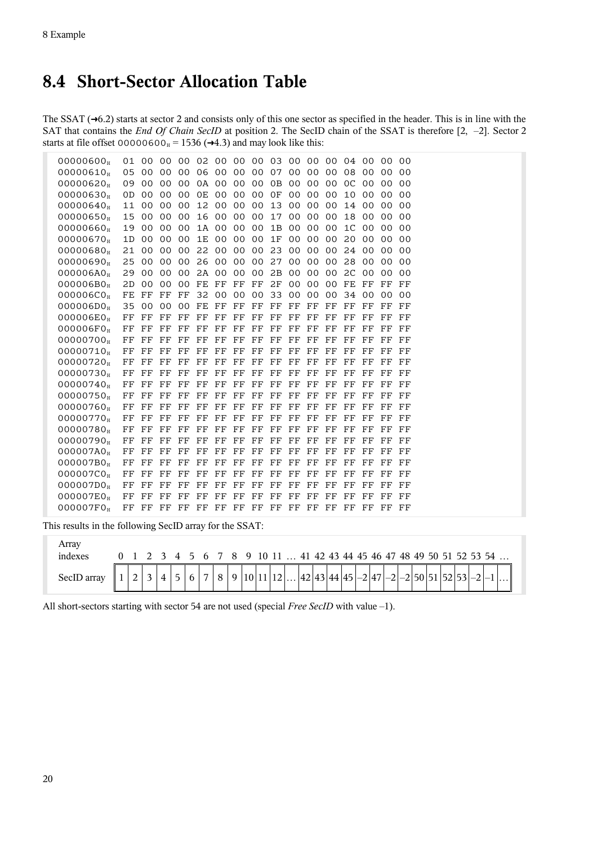# **8.4 Short-Sector Allocation Table**

The SSAT  $(\rightarrow 6.2)$  $(\rightarrow 6.2)$  starts at sector 2 and consists only of this one sector as specified in the header. This is in line with the SAT that contains the *End Of Chain SecID* at position 2. The SecID chain of the SSAT is therefore [2, –2]. Sector 2 starts at file offset  $00000600_H = 1536 \rightarrow 4.3$  and may look like this:

| 00000600              |       |                |                   |                |             |             |                 |             | 01 00 00 00 02 00 00 00 03 00 00 00 |                 |                |                 | 04 00          |                | -00            | 0 <sub>0</sub> |
|-----------------------|-------|----------------|-------------------|----------------|-------------|-------------|-----------------|-------------|-------------------------------------|-----------------|----------------|-----------------|----------------|----------------|----------------|----------------|
| 00000610              | 05 00 |                | 00                | 00             | 06          | 00          | 00 <sup>°</sup> | 00          | 07                                  | 00              | 00             | 00              | 08             | 00             | 0 <sup>0</sup> | 0 <sub>0</sub> |
| 00000620              | 09    | 0 <sup>0</sup> | $00 \,$           | 0 <sup>0</sup> |             | 0A 00       |                 | 00 00       | 0 <sub>B</sub>                      | 00              | 0 <sup>0</sup> | 0 <sup>0</sup>  | OC             | 0 <sub>0</sub> | 0 <sub>0</sub> | 0 <sub>0</sub> |
| 00000630              | 0D    | 00             | $00 \,$           | 0 <sup>0</sup> | 0E          | 00          | 00              | 00          | 0F                                  | 0 <sup>0</sup>  | 00             | 00              | 10             | 0 <sub>0</sub> | 0 <sub>0</sub> | 0 <sub>0</sub> |
| 00000640              | 11    | 00             | 00 <sup>°</sup>   | 00             |             | 12 00       | 00 00           |             | 13                                  | $00 \,$         | 00             | 00              | 14             | 00             | 00             | 0 <sub>0</sub> |
| 00000650              | 15    | 00             | 0 <sub>0</sub>    | 0 <sup>0</sup> |             | 16 00       |                 | 00 00       | 17                                  | 00 <sup>2</sup> | 0 <sub>0</sub> | 00              | 18             | 0 <sub>0</sub> | 0 <sub>0</sub> | 0 <sub>0</sub> |
| 00000660              | 19    | 00             | $00 \,$           | 0 <sup>0</sup> |             | 1A 00       | 00 <sup>°</sup> | 00          | 1B                                  | 00              | 0 <sup>0</sup> | 00              | 1 <sup>C</sup> | 0 <sup>0</sup> | 00             | 0 <sub>0</sub> |
| 00000670              | 1D    | 00             | 00 <sup>o</sup>   | 0 <sup>0</sup> | 1E          | 00          | 00 <sub>o</sub> | 00          | 1F                                  | 00              | 00             | 00              | 20             | 00             | 00             | 0 <sub>0</sub> |
| 00000680              | 21    | 00             | $00 \,$           | 00             | 22          | 00          | 00 <sup>°</sup> | 00          | 23                                  | 00              | 0 <sup>0</sup> | 00              | 24             | 00             | 00             | 00             |
| 00000690              | 25    | 00             | $00 \,$           | 0 <sup>0</sup> | 26          | 00          | 00 <sup>o</sup> | 00          | 27                                  | 00              | 0 <sup>0</sup> | 00              | 28             | 0 <sub>0</sub> | 0 <sub>0</sub> | 0 <sub>0</sub> |
| 000006A0 <sub>H</sub> | 29    | 00             | $00 \,$           | 0 <sup>0</sup> | 2A 00       |             | 00 <sup>°</sup> | 00          | 2B                                  | 00              | 0 <sup>0</sup> | 00              | 2C             | 0 <sub>0</sub> | 00             | 0 <sub>0</sub> |
| 000006B0 <sub>H</sub> | 2D    | 00             | $00 \,$           | 00             | FE FF       |             | FF              | $_{\rm FF}$ | 2F                                  | 00              | 00             | 00 <sup>°</sup> | FE             | $_{\rm FF}$    | FF             | FF             |
| 000006C0 <sub>H</sub> | FE    | $_{\rm FF}$    | $_{\rm FF}$       | $_{\rm FF}$    | 32          | 00          | 00 <sup>°</sup> | 00          | 33                                  | 00              | 0 <sup>0</sup> | 00              | 34             | 0 <sup>0</sup> | 0 <sup>0</sup> | 0 <sup>0</sup> |
| 000006D0 <sub>H</sub> | 35    | 00             | 00                | 0 <sup>0</sup> | FE          | $_{\rm FF}$ | FF              | FF          | FF                                  | FF              | FF             | FF              | FF             | FF             | FF             | FF             |
| 000006E0 <sub>H</sub> | FF    | $_{\rm FF}$    | FF                | FF             | FF          | $_{\rm FF}$ | $_{\rm FF}$     | $_{\rm FF}$ | $_{\rm FF}$                         | $_{\rm FF}$     | FF             | FF              | FF             | FF             | FF             | FF             |
| 000006F0 <sub>H</sub> | FF    | FF             | FF                | $_{\rm FF}$    | FF          | FF          | FF              | $_{\rm FF}$ | FF                                  | FF              | FF             | FF              | FF             | FF             | FF             | FF             |
| 00000700              | FF    | FF             | FF                | FF             | FF          | FF          | FF              | FF          | FF                                  | FF              | FF             | FF              | FF             | FF             | FF             | FF             |
| 00000710              | FF    | FF             | FF                | FF             | FF          | $_{\rm FF}$ | FF              | $_{\rm FF}$ | FF                                  | FF              | $_{\rm FF}$    | FF              | FF             | FF             | FF             | FF             |
| 00000720 <sub>H</sub> | FF    | FF             | $_{\rm FF}$       | $_{\rm FF}$    | FF          | $_{\rm FF}$ | FF              | $_{\rm FF}$ | FF                                  | FF              | FF             | FF              | FF             | FF             | FF             | FF             |
| 00000730              | FF    | FF             | FF                | FF             | FF          | FF          | FF              | FF          | FF                                  | $_{\rm FF}$     | FF             | FF              | FF             | FF             | FF             | FF             |
| 00000740              | FF    | $_{\rm FF}$    | $_{\rm FF}$       | $_{\rm FF}$    | $_{\rm FF}$ | FF          | $_{\rm FF}$     | $_{\rm FF}$ | $_{\rm FF}$                         | $_{\rm FF}$     | $_{\rm FF}$    | FF              | $_{\rm FF}$    | FF             | FF             | FF             |
| 00000750 <sub>H</sub> | FF    | FF             | FF                | $_{\rm FF}$    | FF          | FF          | FF              | $_{\rm FF}$ | FF                                  | FF              | FF             | FF              | FF             | FF             | FF             | FF             |
| 00000760              | FF    | FF             | FF                | $_{\rm FF}$    | FF          | $_{\rm FF}$ | FF              | $_{\rm FF}$ | $_{\rm FF}$                         | $_{\rm FF}$     | FF             | FF              | FF             | FF             | FF             | FF             |
| 00000770              | FF    | FF             | FF                | $_{\rm FF}$    | FF          | FF          | FF              | $_{\rm FF}$ | FF                                  | FF              | $_{\rm FF}$    | FF              | $_{\rm FF}$    | FF             | FF             | FF             |
| 00000780              | FF    | FF             | $_{\rm FF}$       | $_{\rm FF}$    | FF          | FF          | FF              | $_{\rm FF}$ | FF                                  | FF              | $_{\rm FF}$    | FF              | FF             | FF             | FF             | FF             |
| 00000790              | FF    | FF             | FF                | $_{\rm FF}$    | FF          | $_{\rm FF}$ | FF              | FF          | FF                                  | FF              | FF             | FF              | FF             | FF             | FF             | FF             |
| 000007A0 <sub>H</sub> | FF    | $_{\rm FF}$    | $_{\rm FF}$       | $_{\rm FF}$    | FF          | FF          | FF              | $_{\rm FF}$ | FF                                  | FF              | FF             | FF              | FF             | FF             | FF             | FF             |
| 000007B0 <sub>H</sub> | FF    | $_{\rm FF}$    | $_{\rm FF}$       | FF             | FF          | FF          | FF              | FF          | FF                                  | FF              | FF             | FF              | FF             | FF             | FF             | FF             |
| 000007C0 <sub>H</sub> | FF    | FF             | FF                | FF             | FF          | FF          | FF              | $_{\rm FF}$ | FF                                  | FF              | FF             | FF              | FF             | FF             | FF             | FF             |
| 000007D0 <sub>H</sub> | FF    | FF             | FF                | FF             | FF          | FF          | FF              | $_{\rm FF}$ | FF                                  | FF              | FF             | FF              | FF             | FF             | FF             | FF             |
| 000007E0 <sub>H</sub> | FF    | FF             | FF                | FF             | FF          | FF          | FF              | FF          | FF                                  | FF              | FF             | FF              | FF             | FF             | FF             | FF             |
| 000007F0 <sub>H</sub> |       |                | FF FF FF FF FF FF |                |             |             |                 |             | FF FF FF FF FF FF                   |                 |                |                 | $_{\rm FF}$    | FF             | FF             | FF             |

This results in the following SecID array for the SSAT:

| Array<br>indexes |  |  |   |                |  |  |  |  |  |  |  |  |  |  | 0 1 2 3 4 5 6 7 8 9 10 11  41 42 43 44 45 46 47 48 49 50 51 52 53 54 |                                                                                                   |
|------------------|--|--|---|----------------|--|--|--|--|--|--|--|--|--|--|----------------------------------------------------------------------|---------------------------------------------------------------------------------------------------|
| SecID array      |  |  | 5 | 6 <sup>1</sup> |  |  |  |  |  |  |  |  |  |  |                                                                      | $\left 7 8 9 10 11 12\right  \left 42 43 44 45 -2 47 -2 50 51 52 53 -2 1  \right  \left 1\right $ |

All short-sectors starting with sector 54 are not used (special *Free SecID* with value –1).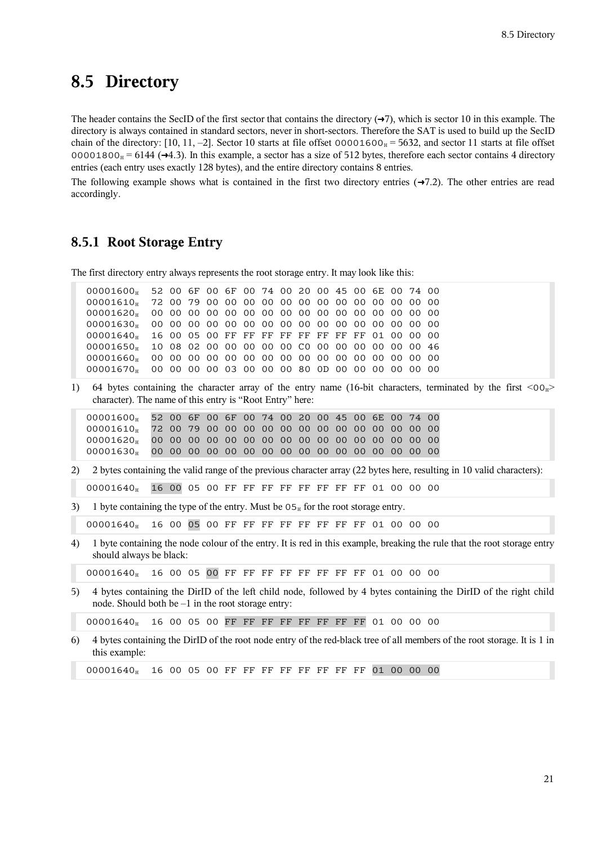### **8.5 Directory**

The header contains the SecID of the first sector that contains the directory  $(\rightarrow 7)$  $(\rightarrow 7)$ , which is sector 10 in this example. The directory is always contained in standard sectors, never in short-sectors. Therefore the SAT is used to build up the SecID chain of the directory: [10, 11, -2]. Sector 10 starts at file offset  $00001600<sub>H</sub> = 5632$ , and sector 11 starts at file offset 00001800 $_{\text{H}}$  = 6144 ( $\rightarrow$ [4.3\)](#page-8-0). In this example, a sector has a size of 512 bytes, therefore each sector contains 4 directory entries (each entry uses exactly 128 bytes), and the entire directory contains 8 entries.

The following example shows what is contained in the first two directory entries  $(\rightarrow 7.2)$  $(\rightarrow 7.2)$ . The other entries are read accordingly.

#### **8.5.1 Root Storage Entry**

The first directory entry always represents the root storage entry. It may look like this:

| 00001600 <sub>H</sub> 52 00 6F 00 6F 00 74 00 20 00 45 00 6E 00 74 00 |  |  |  |  |  |  |  |  |
|-----------------------------------------------------------------------|--|--|--|--|--|--|--|--|
|                                                                       |  |  |  |  |  |  |  |  |
|                                                                       |  |  |  |  |  |  |  |  |
|                                                                       |  |  |  |  |  |  |  |  |
| 00001640 <sub>H</sub> 16 00 05 00 FF FF FF FF FF FF FF FF 01 00 00 00 |  |  |  |  |  |  |  |  |
| 00001650 <sub>H</sub> 10 08 02 00 00 00 00 00 C0 00 00 00 00 00 00 46 |  |  |  |  |  |  |  |  |
|                                                                       |  |  |  |  |  |  |  |  |
| 00001670 <sub>H</sub> 00 00 00 00 03 00 00 00 80 0D 00 00 00 00 00 00 |  |  |  |  |  |  |  |  |
|                                                                       |  |  |  |  |  |  |  |  |

1) 64 bytes containing the character array of the entry name (16-bit characters, terminated by the first  $\langle 00_H \rangle$ character). The name of this entry is "Root Entry" here:

| 00001600 <sub>H</sub> 52 00 6F 00 6F 00 74 00 20 00 45 00 6E 00 74 00 |  |  |  |  |  |  |  |  |
|-----------------------------------------------------------------------|--|--|--|--|--|--|--|--|
|                                                                       |  |  |  |  |  |  |  |  |
|                                                                       |  |  |  |  |  |  |  |  |
|                                                                       |  |  |  |  |  |  |  |  |

2) 2 bytes containing the valid range of the previous character array (22 bytes here, resulting in 10 valid characters):

00001640<sup>H</sup> 16 00 05 00 FF FF FF FF FF FF FF FF 01 00 00 00

3) 1 byte containing the type of the entry. Must be  $0.5<sub>H</sub>$  for the root storage entry.

00001640<sup>H</sup> 16 00 05 00 FF FF FF FF FF FF FF FF 01 00 00 00

4) 1 byte containing the node colour of the entry. It is red in this example, breaking the rule that the root storage entry should always be black:

00001640<sup>H</sup> 16 00 05 00 FF FF FF FF FF FF FF FF 01 00 00 00

5) 4 bytes containing the DirID of the left child node, followed by 4 bytes containing the DirID of the right child node. Should both be  $-1$  in the root storage entry:

00001640<sup>H</sup> 16 00 05 00 FF FF FF FF FF FF FF FF 01 00 00 00

6) 4 bytes containing the DirID of the root node entry of the red-black tree of all members of the root storage. It is 1 in this example:

00001640<sup>H</sup> 16 00 05 00 FF FF FF FF FF FF FF FF 01 00 00 00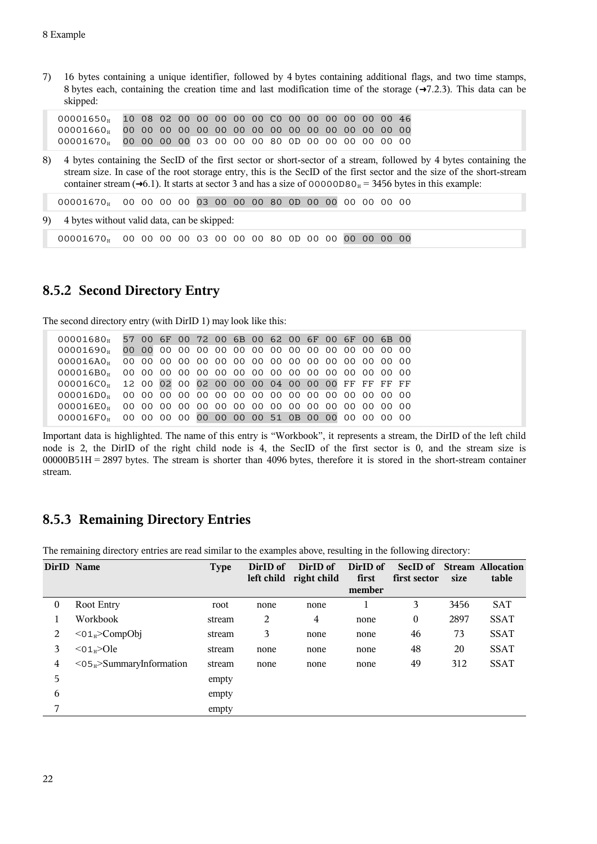7) 16 bytes containing a unique identifier, followed by 4 bytes containing additional flags, and two time stamps, 8 bytes each, containing the creation time and last modification time of the storage  $(\rightarrow 7.2.3)$  $(\rightarrow 7.2.3)$ . This data can be skipped:

00001650<sup>H</sup> 10 08 02 00 00 00 00 00 C0 00 00 00 00 00 00 46 00001660<sup>H</sup> 00 00 00 00 00 00 00 00 00 00 00 00 00 00 00 00 00001670<sup>H</sup> 00 00 00 00 03 00 00 00 80 0D 00 00 00 00 00 00

8) 4 bytes containing the SecID of the first sector or short-sector of a stream, followed by 4 bytes containing the stream size. In case of the root storage entry, this is the SecID of the first sector and the size of the short-stream container stream ( $\rightarrow$ [6.1\)](#page-11-2). It starts at sector 3 and has a size of 00000D80 $_{\text{H}}$  = 3456 bytes in this example:

00001670<sup>H</sup> 00 00 00 00 03 00 00 00 80 0D 00 00 00 00 00 00

9) 4 bytes without valid data, can be skipped:

00001670<sup>H</sup> 00 00 00 00 03 00 00 00 80 0D 00 00 00 00 00 00

#### **8.5.2 Second Directory Entry**

The second directory entry (with DirID 1) may look like this:

| 00001680 <sub>H</sub> 57 00 6F 00 72 00 6B 00 62 00 6F 00 6F 00 6B 00 |  |  |  |  |  |  |  |  |
|-----------------------------------------------------------------------|--|--|--|--|--|--|--|--|
|                                                                       |  |  |  |  |  |  |  |  |
|                                                                       |  |  |  |  |  |  |  |  |
|                                                                       |  |  |  |  |  |  |  |  |
| 000016CO <sub>H</sub> 12 00 02 00 02 00 00 00 04 00 00 00 FF FF FF FF |  |  |  |  |  |  |  |  |
|                                                                       |  |  |  |  |  |  |  |  |
|                                                                       |  |  |  |  |  |  |  |  |
| 000016F0H 00 00 00 00 00 00 00 00 51 0B 00 00 00 00 00 00             |  |  |  |  |  |  |  |  |

Important data is highlighted. The name of this entry is "Workbook", it represents a stream, the DirID of the left child node is 2, the DirID of the right child node is 4, the SecID of the first sector is 0, and the stream size is 00000B51H = 2897 bytes. The stream is shorter than 4096 bytes, therefore it is stored in the short-stream container stream.

#### **8.5.3 Remaining Directory Entries**

The remaining directory entries are read similar to the examples above, resulting in the following directory:

| DirID Name |                                         | <b>Type</b> | DirID of<br>left child | DirID of<br>right child | DirID of<br>first<br>member | SecID of<br>first sector | size | <b>Stream Allocation</b><br>table |
|------------|-----------------------------------------|-------------|------------------------|-------------------------|-----------------------------|--------------------------|------|-----------------------------------|
| 0          | Root Entry                              | root        | none                   | none                    |                             | 3                        | 3456 | SAT                               |
|            | Workbook                                | stream      | 2                      | 4                       | none                        | $\boldsymbol{0}$         | 2897 | <b>SSAT</b>                       |
| 2          | $<$ 01 <sub>H</sub> $>$ CompObj         | stream      | 3                      | none                    | none                        | 46                       | 73   | <b>SSAT</b>                       |
| 3          | $<$ 01 <sub>H</sub> $>$ Ole             | stream      | none                   | none                    | none                        | 48                       | 20   | <b>SSAT</b>                       |
| 4          | $<$ 05 <sub>H</sub> >SummaryInformation | stream      | none                   | none                    | none                        | 49                       | 312  | <b>SSAT</b>                       |
| 5          |                                         | empty       |                        |                         |                             |                          |      |                                   |
| 6          |                                         | empty       |                        |                         |                             |                          |      |                                   |
| 7          |                                         | empty       |                        |                         |                             |                          |      |                                   |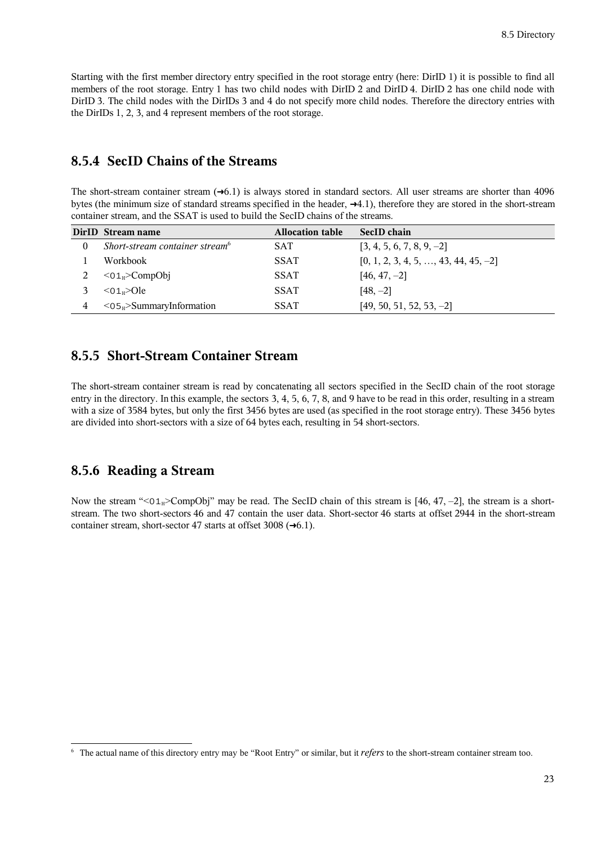Starting with the first member directory entry specified in the root storage entry (here: DirID 1) it is possible to find all members of the root storage. Entry 1 has two child nodes with DirID 2 and DirID 4. DirID 2 has one child node with DirID 3. The child nodes with the DirIDs 3 and 4 do not specify more child nodes. Therefore the directory entries with the DirIDs 1, 2, 3, and 4 represent members of the root storage.

#### **8.5.4 SecID Chains of the Streams**

The short-stream container stream  $(\rightarrow 6.1)$  $(\rightarrow 6.1)$  is always stored in standard sectors. All user streams are shorter than 4096 bytes (the minimum size of standard streams specified in the header,  $\rightarrow$ [4.1\)](#page-7-0), therefore they are stored in the short-stream container stream, and the SSAT is used to build the SecID chains of the streams.

|                | DirID Stream name                          | <b>Allocation table</b> | SecID chain                                  |
|----------------|--------------------------------------------|-------------------------|----------------------------------------------|
| $\theta$       | Short-stream container stream <sup>6</sup> | <b>SAT</b>              | $[3, 4, 5, 6, 7, 8, 9, -2]$                  |
|                | Workbook                                   | <b>SSAT</b>             | $[0, 1, 2, 3, 4, 5, \ldots, 43, 44, 45, -2]$ |
|                | $\leq 01_H$ >CompObj                       | <b>SSAT</b>             | $[46, 47, -2]$                               |
|                | $<$ 01 <sub>u</sub> $>$ Ole                | <b>SSAT</b>             | $[48, -2]$                                   |
| $\overline{4}$ | $<$ 05 $_H$ >SummaryInformation            | <b>SSAT</b>             | $[49, 50, 51, 52, 53, -2]$                   |

#### **8.5.5 Short-Stream Container Stream**

The short-stream container stream is read by concatenating all sectors specified in the SecID chain of the root storage entry in the directory. In this example, the sectors 3, 4, 5, 6, 7, 8, and 9 have to be read in this order, resulting in a stream with a size of 3584 bytes, but only the first 3456 bytes are used (as specified in the root storage entry). These 3456 bytes are divided into short-sectors with a size of 64 bytes each, resulting in 54 short-sectors.

#### **8.5.6 Reading a Stream**

Now the stream " $<01_H>CompObj$ " may be read. The SecID chain of this stream is [46, 47, –2], the stream is a shortstream. The two short-sectors 46 and 47 contain the user data. Short-sector 46 starts at offset 2944 in the short-stream container stream, short-sector 47 starts at offset 3008  $(\rightarrow 6.1)$  $(\rightarrow 6.1)$ .

<span id="page-22-0"></span><sup>&</sup>lt;sup>6</sup> The actual name of this directory entry may be "Root Entry" or similar, but it *refers* to the short-stream container stream too.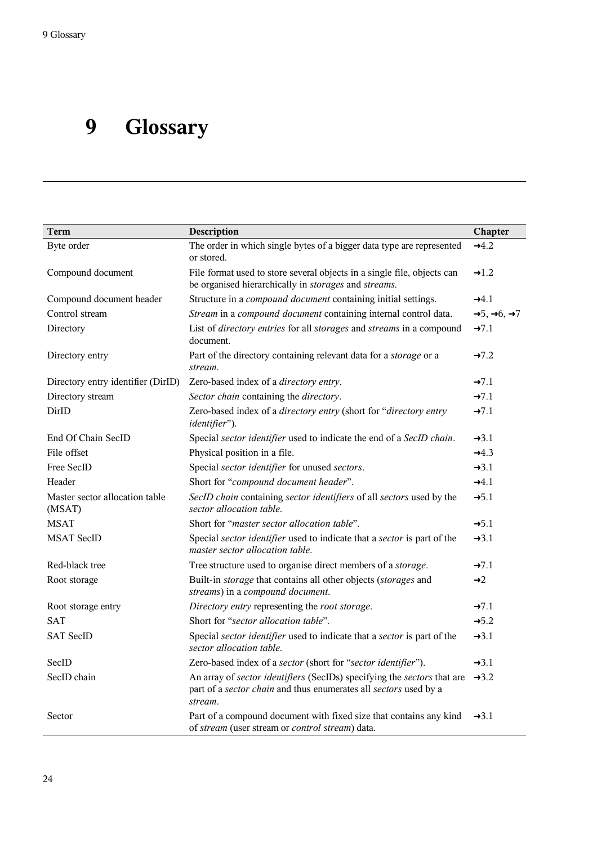# **9 Glossary**

| Term                                     | Description                                                                                                                                            | Chapter                                       |
|------------------------------------------|--------------------------------------------------------------------------------------------------------------------------------------------------------|-----------------------------------------------|
| Byte order                               | The order in which single bytes of a bigger data type are represented<br>or stored.                                                                    | $\rightarrow$ 4.2                             |
| Compound document                        | File format used to store several objects in a single file, objects can<br>be organised hierarchically in storages and streams.                        | $\rightarrow$ 1.2                             |
| Compound document header                 | Structure in a <i>compound document</i> containing initial settings.                                                                                   | $\rightarrow 4.1$                             |
| Control stream                           | Stream in a compound document containing internal control data.                                                                                        | $\rightarrow 5, \rightarrow 6, \rightarrow 7$ |
| Directory                                | List of directory entries for all storages and streams in a compound<br>document.                                                                      | $\rightarrow 7.1$                             |
| Directory entry                          | Part of the directory containing relevant data for a storage or a<br>stream.                                                                           | $\rightarrow 7.2$                             |
| Directory entry identifier (DirID)       | Zero-based index of a directory entry.                                                                                                                 | $\rightarrow 7.1$                             |
| Directory stream                         | Sector chain containing the directory.                                                                                                                 | $\rightarrow 7.1$                             |
| DirID                                    | Zero-based index of a directory entry (short for "directory entry<br>identifier").                                                                     | $\rightarrow 7.1$                             |
| End Of Chain SecID                       | Special sector identifier used to indicate the end of a SecID chain.                                                                                   | $\rightarrow 3.1$                             |
| File offset                              | Physical position in a file.                                                                                                                           | $\rightarrow$ 4.3                             |
| Free SecID                               | Special sector identifier for unused sectors.                                                                                                          | $\rightarrow 3.1$                             |
| Header                                   | Short for "compound document header".                                                                                                                  | $-4.1$                                        |
| Master sector allocation table<br>(MSAT) | SecID chain containing sector identifiers of all sectors used by the<br>sector allocation table.                                                       | $\rightarrow 5.1$                             |
| <b>MSAT</b>                              | Short for "master sector allocation table".                                                                                                            | $\rightarrow 5.1$                             |
| <b>MSAT SecID</b>                        | Special sector identifier used to indicate that a sector is part of the<br>master sector allocation table.                                             | $\rightarrow$ 3.1                             |
| Red-black tree                           | Tree structure used to organise direct members of a <i>storage</i> .                                                                                   | $\rightarrow 7.1$                             |
| Root storage                             | Built-in <i>storage</i> that contains all other objects ( <i>storages</i> and<br>streams) in a compound document.                                      | $\rightarrow$ 2                               |
| Root storage entry                       | Directory entry representing the root storage.                                                                                                         | $\rightarrow 7.1$                             |
| <b>SAT</b>                               | Short for "sector allocation table".                                                                                                                   | $\rightarrow 5.2$                             |
| <b>SAT SecID</b>                         | Special sector identifier used to indicate that a sector is part of the<br>sector allocation table.                                                    | $\rightarrow 3.1$                             |
| SecID                                    | Zero-based index of a sector (short for "sector identifier").                                                                                          | $\rightarrow$ 3.1                             |
| SecID chain                              | An array of sector identifiers (SecIDs) specifying the sectors that are<br>part of a sector chain and thus enumerates all sectors used by a<br>stream. | $\rightarrow 3.2$                             |
| Sector                                   | Part of a compound document with fixed size that contains any kind<br>of stream (user stream or control stream) data.                                  | $\rightarrow$ 3.1                             |